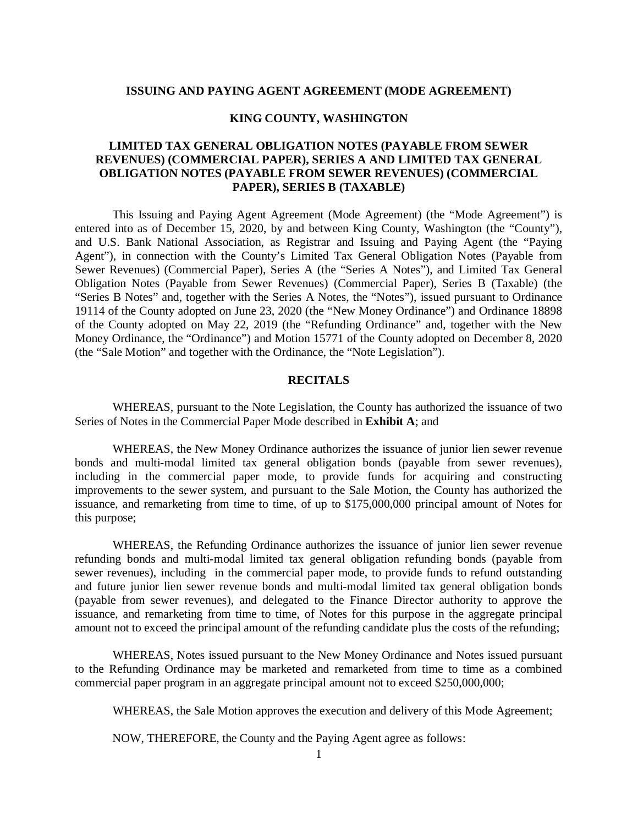#### **ISSUING AND PAYING AGENT AGREEMENT (MODE AGREEMENT)**

#### **KING COUNTY, WASHINGTON**

# **LIMITED TAX GENERAL OBLIGATION NOTES (PAYABLE FROM SEWER REVENUES) (COMMERCIAL PAPER), SERIES A AND LIMITED TAX GENERAL OBLIGATION NOTES (PAYABLE FROM SEWER REVENUES) (COMMERCIAL PAPER), SERIES B (TAXABLE)**

This Issuing and Paying Agent Agreement (Mode Agreement) (the "Mode Agreement") is entered into as of December 15, 2020, by and between King County, Washington (the "County"), and U.S. Bank National Association, as Registrar and Issuing and Paying Agent (the "Paying Agent"), in connection with the County's Limited Tax General Obligation Notes (Payable from Sewer Revenues) (Commercial Paper), Series A (the "Series A Notes"), and Limited Tax General Obligation Notes (Payable from Sewer Revenues) (Commercial Paper), Series B (Taxable) (the "Series B Notes" and, together with the Series A Notes, the "Notes"), issued pursuant to Ordinance 19114 of the County adopted on June 23, 2020 (the "New Money Ordinance") and Ordinance 18898 of the County adopted on May 22, 2019 (the "Refunding Ordinance" and, together with the New Money Ordinance, the "Ordinance") and Motion 15771 of the County adopted on December 8, 2020 (the "Sale Motion" and together with the Ordinance, the "Note Legislation").

#### **RECITALS**

WHEREAS, pursuant to the Note Legislation, the County has authorized the issuance of two Series of Notes in the Commercial Paper Mode described in **Exhibit A**; and

WHEREAS, the New Money Ordinance authorizes the issuance of junior lien sewer revenue bonds and multi-modal limited tax general obligation bonds (payable from sewer revenues), including in the commercial paper mode, to provide funds for acquiring and constructing improvements to the sewer system, and pursuant to the Sale Motion, the County has authorized the issuance, and remarketing from time to time, of up to \$175,000,000 principal amount of Notes for this purpose;

WHEREAS, the Refunding Ordinance authorizes the issuance of junior lien sewer revenue refunding bonds and multi-modal limited tax general obligation refunding bonds (payable from sewer revenues), including in the commercial paper mode, to provide funds to refund outstanding and future junior lien sewer revenue bonds and multi-modal limited tax general obligation bonds (payable from sewer revenues), and delegated to the Finance Director authority to approve the issuance, and remarketing from time to time, of Notes for this purpose in the aggregate principal amount not to exceed the principal amount of the refunding candidate plus the costs of the refunding;

WHEREAS, Notes issued pursuant to the New Money Ordinance and Notes issued pursuant to the Refunding Ordinance may be marketed and remarketed from time to time as a combined commercial paper program in an aggregate principal amount not to exceed \$250,000,000;

WHEREAS, the Sale Motion approves the execution and delivery of this Mode Agreement;

NOW, THEREFORE, the County and the Paying Agent agree as follows: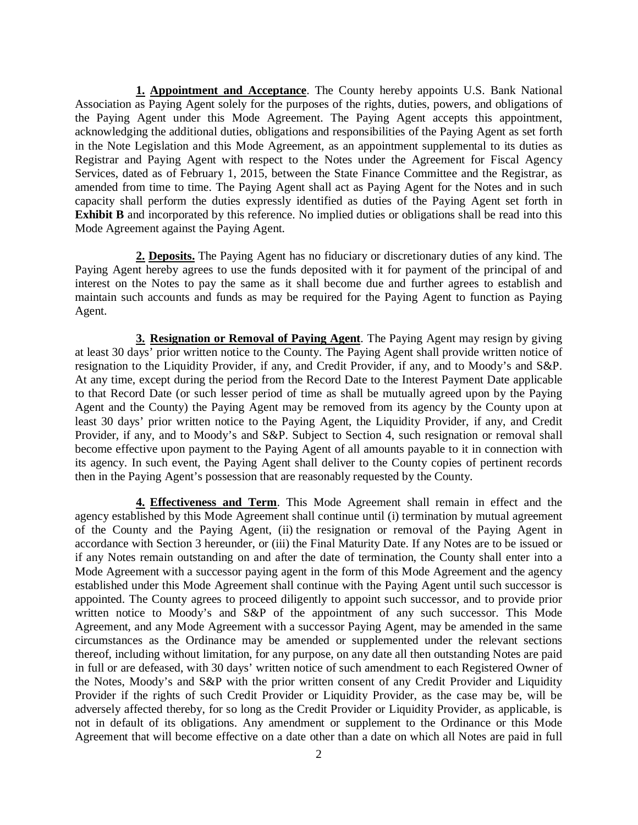**1. Appointment and Acceptance**. The County hereby appoints U.S. Bank National Association as Paying Agent solely for the purposes of the rights, duties, powers, and obligations of the Paying Agent under this Mode Agreement. The Paying Agent accepts this appointment, acknowledging the additional duties, obligations and responsibilities of the Paying Agent as set forth in the Note Legislation and this Mode Agreement, as an appointment supplemental to its duties as Registrar and Paying Agent with respect to the Notes under the Agreement for Fiscal Agency Services, dated as of February 1, 2015, between the State Finance Committee and the Registrar, as amended from time to time. The Paying Agent shall act as Paying Agent for the Notes and in such capacity shall perform the duties expressly identified as duties of the Paying Agent set forth in **Exhibit B** and incorporated by this reference. No implied duties or obligations shall be read into this Mode Agreement against the Paying Agent.

**2. Deposits.** The Paying Agent has no fiduciary or discretionary duties of any kind. The Paying Agent hereby agrees to use the funds deposited with it for payment of the principal of and interest on the Notes to pay the same as it shall become due and further agrees to establish and maintain such accounts and funds as may be required for the Paying Agent to function as Paying Agent.

**3. Resignation or Removal of Paying Agent**. The Paying Agent may resign by giving at least 30 days' prior written notice to the County. The Paying Agent shall provide written notice of resignation to the Liquidity Provider, if any, and Credit Provider, if any, and to Moody's and S&P. At any time, except during the period from the Record Date to the Interest Payment Date applicable to that Record Date (or such lesser period of time as shall be mutually agreed upon by the Paying Agent and the County) the Paying Agent may be removed from its agency by the County upon at least 30 days' prior written notice to the Paying Agent, the Liquidity Provider, if any, and Credit Provider, if any, and to Moody's and S&P. Subject to Section 4, such resignation or removal shall become effective upon payment to the Paying Agent of all amounts payable to it in connection with its agency. In such event, the Paying Agent shall deliver to the County copies of pertinent records then in the Paying Agent's possession that are reasonably requested by the County.

**4. Effectiveness and Term**. This Mode Agreement shall remain in effect and the agency established by this Mode Agreement shall continue until (i) termination by mutual agreement of the County and the Paying Agent, (ii) the resignation or removal of the Paying Agent in accordance with Section 3 hereunder, or (iii) the Final Maturity Date. If any Notes are to be issued or if any Notes remain outstanding on and after the date of termination, the County shall enter into a Mode Agreement with a successor paying agent in the form of this Mode Agreement and the agency established under this Mode Agreement shall continue with the Paying Agent until such successor is appointed. The County agrees to proceed diligently to appoint such successor, and to provide prior written notice to Moody's and S&P of the appointment of any such successor. This Mode Agreement, and any Mode Agreement with a successor Paying Agent, may be amended in the same circumstances as the Ordinance may be amended or supplemented under the relevant sections thereof, including without limitation, for any purpose, on any date all then outstanding Notes are paid in full or are defeased, with 30 days' written notice of such amendment to each Registered Owner of the Notes, Moody's and S&P with the prior written consent of any Credit Provider and Liquidity Provider if the rights of such Credit Provider or Liquidity Provider, as the case may be, will be adversely affected thereby, for so long as the Credit Provider or Liquidity Provider, as applicable, is not in default of its obligations. Any amendment or supplement to the Ordinance or this Mode Agreement that will become effective on a date other than a date on which all Notes are paid in full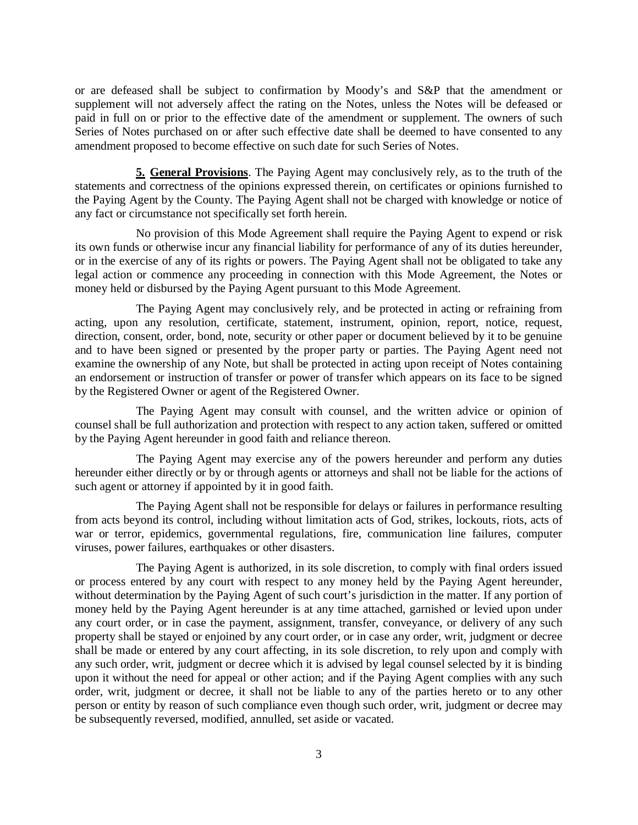or are defeased shall be subject to confirmation by Moody's and S&P that the amendment or supplement will not adversely affect the rating on the Notes, unless the Notes will be defeased or paid in full on or prior to the effective date of the amendment or supplement. The owners of such Series of Notes purchased on or after such effective date shall be deemed to have consented to any amendment proposed to become effective on such date for such Series of Notes.

**5. General Provisions**. The Paying Agent may conclusively rely, as to the truth of the statements and correctness of the opinions expressed therein, on certificates or opinions furnished to the Paying Agent by the County. The Paying Agent shall not be charged with knowledge or notice of any fact or circumstance not specifically set forth herein.

No provision of this Mode Agreement shall require the Paying Agent to expend or risk its own funds or otherwise incur any financial liability for performance of any of its duties hereunder, or in the exercise of any of its rights or powers. The Paying Agent shall not be obligated to take any legal action or commence any proceeding in connection with this Mode Agreement, the Notes or money held or disbursed by the Paying Agent pursuant to this Mode Agreement.

The Paying Agent may conclusively rely, and be protected in acting or refraining from acting, upon any resolution, certificate, statement, instrument, opinion, report, notice, request, direction, consent, order, bond, note, security or other paper or document believed by it to be genuine and to have been signed or presented by the proper party or parties. The Paying Agent need not examine the ownership of any Note, but shall be protected in acting upon receipt of Notes containing an endorsement or instruction of transfer or power of transfer which appears on its face to be signed by the Registered Owner or agent of the Registered Owner.

The Paying Agent may consult with counsel, and the written advice or opinion of counsel shall be full authorization and protection with respect to any action taken, suffered or omitted by the Paying Agent hereunder in good faith and reliance thereon.

The Paying Agent may exercise any of the powers hereunder and perform any duties hereunder either directly or by or through agents or attorneys and shall not be liable for the actions of such agent or attorney if appointed by it in good faith.

The Paying Agent shall not be responsible for delays or failures in performance resulting from acts beyond its control, including without limitation acts of God, strikes, lockouts, riots, acts of war or terror, epidemics, governmental regulations, fire, communication line failures, computer viruses, power failures, earthquakes or other disasters.

The Paying Agent is authorized, in its sole discretion, to comply with final orders issued or process entered by any court with respect to any money held by the Paying Agent hereunder, without determination by the Paying Agent of such court's jurisdiction in the matter. If any portion of money held by the Paying Agent hereunder is at any time attached, garnished or levied upon under any court order, or in case the payment, assignment, transfer, conveyance, or delivery of any such property shall be stayed or enjoined by any court order, or in case any order, writ, judgment or decree shall be made or entered by any court affecting, in its sole discretion, to rely upon and comply with any such order, writ, judgment or decree which it is advised by legal counsel selected by it is binding upon it without the need for appeal or other action; and if the Paying Agent complies with any such order, writ, judgment or decree, it shall not be liable to any of the parties hereto or to any other person or entity by reason of such compliance even though such order, writ, judgment or decree may be subsequently reversed, modified, annulled, set aside or vacated.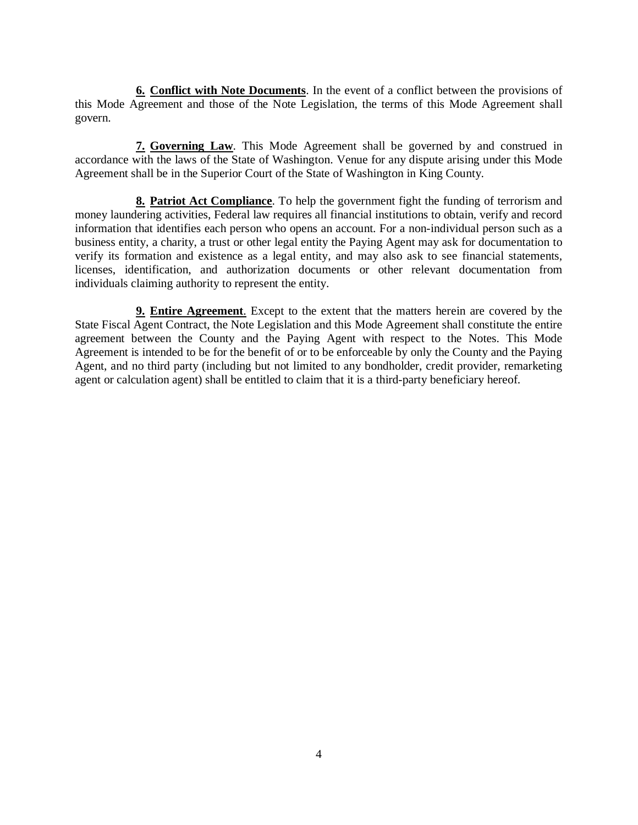**6. Conflict with Note Documents**. In the event of a conflict between the provisions of this Mode Agreement and those of the Note Legislation, the terms of this Mode Agreement shall govern.

**7. Governing Law**. This Mode Agreement shall be governed by and construed in accordance with the laws of the State of Washington. Venue for any dispute arising under this Mode Agreement shall be in the Superior Court of the State of Washington in King County.

**8. Patriot Act Compliance**. To help the government fight the funding of terrorism and money laundering activities, Federal law requires all financial institutions to obtain, verify and record information that identifies each person who opens an account. For a non-individual person such as a business entity, a charity, a trust or other legal entity the Paying Agent may ask for documentation to verify its formation and existence as a legal entity, and may also ask to see financial statements, licenses, identification, and authorization documents or other relevant documentation from individuals claiming authority to represent the entity.

**9. Entire Agreement**. Except to the extent that the matters herein are covered by the State Fiscal Agent Contract, the Note Legislation and this Mode Agreement shall constitute the entire agreement between the County and the Paying Agent with respect to the Notes. This Mode Agreement is intended to be for the benefit of or to be enforceable by only the County and the Paying Agent, and no third party (including but not limited to any bondholder, credit provider, remarketing agent or calculation agent) shall be entitled to claim that it is a third-party beneficiary hereof.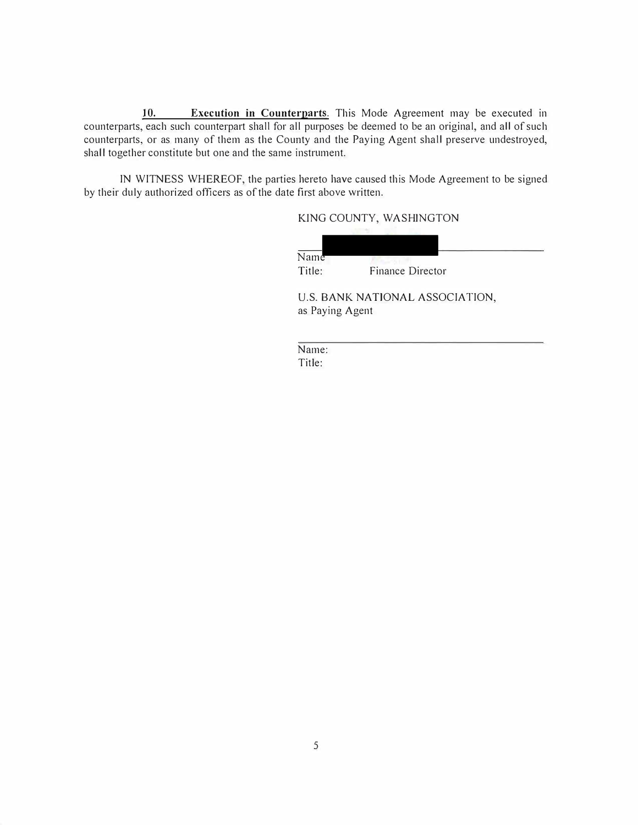**10. Execution in Counterparts.** This Mode Agreement may be executed in counterparts, each such counterpart shall for all purposes be deemed to be an original, and all of such counterparts, or as many of them as the County and the Paying Agent shall preserve undestroyed, shall together constitute but one and the same instrument.

IN WITNESS WHEREOF, the parties hereto have caused this Mode Agreement to be signed by their duly authorized officers as of the date first above written.

# KJNG COUNTY, WASHINGTON

| Name   |                  |  |
|--------|------------------|--|
| Title: | Finance Director |  |

U.S. BANK NATIONAL ASSOCIATION, as Paying Agent

Name: Title: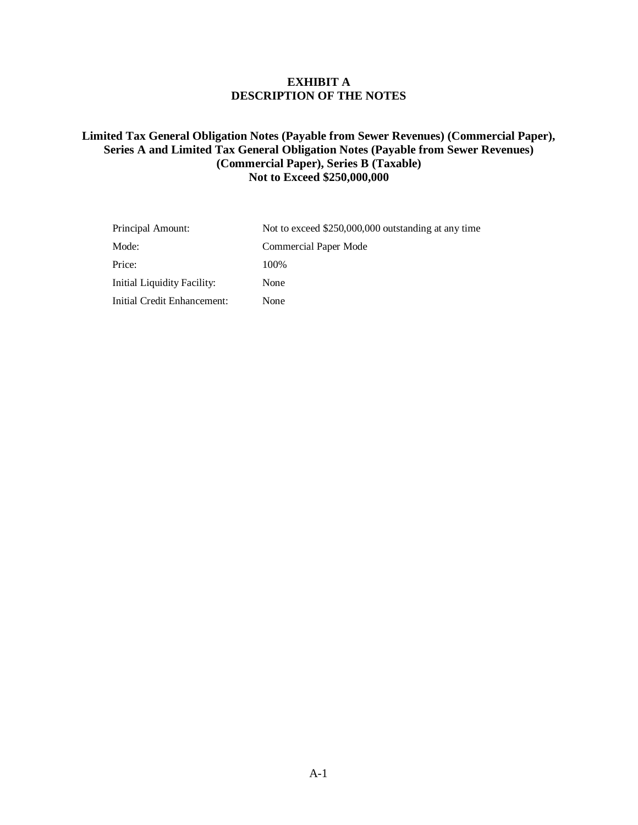# **EXHIBIT A DESCRIPTION OF THE NOTES**

# **Limited Tax General Obligation Notes (Payable from Sewer Revenues) (Commercial Paper), Series A and Limited Tax General Obligation Notes (Payable from Sewer Revenues) (Commercial Paper), Series B (Taxable) Not to Exceed \$250,000,000**

| Principal Amount:           | Not to exceed \$250,000,000 outstanding at any time |
|-----------------------------|-----------------------------------------------------|
| Mode:                       | Commercial Paper Mode                               |
| Price:                      | 100\%                                               |
| Initial Liquidity Facility: | None                                                |
| Initial Credit Enhancement: | None                                                |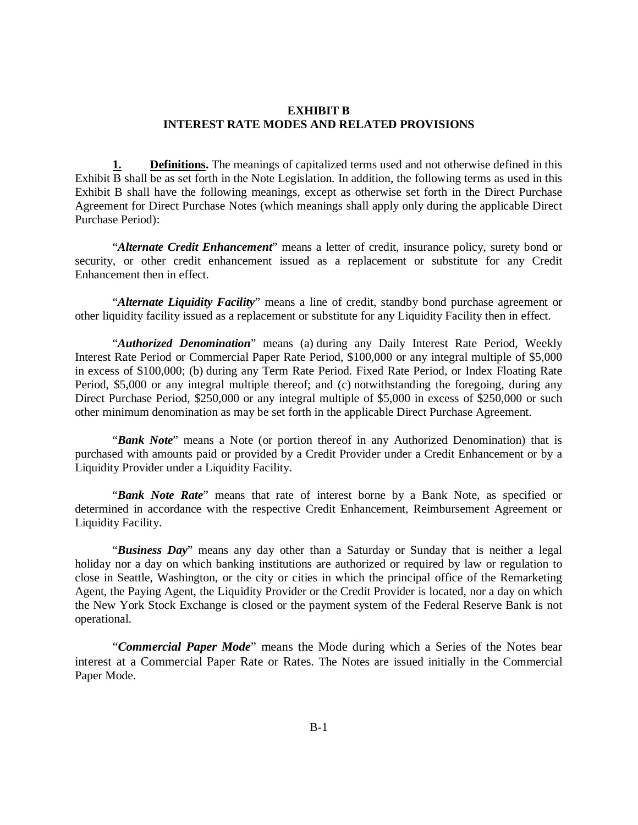#### **EXHIBIT B INTEREST RATE MODES AND RELATED PROVISIONS**

**1. Definitions.** The meanings of capitalized terms used and not otherwise defined in this Exhibit B shall be as set forth in the Note Legislation. In addition, the following terms as used in this Exhibit B shall have the following meanings, except as otherwise set forth in the Direct Purchase Agreement for Direct Purchase Notes (which meanings shall apply only during the applicable Direct Purchase Period):

"*Alternate Credit Enhancement*" means a letter of credit, insurance policy, surety bond or security, or other credit enhancement issued as a replacement or substitute for any Credit Enhancement then in effect.

"*Alternate Liquidity Facility*" means a line of credit, standby bond purchase agreement or other liquidity facility issued as a replacement or substitute for any Liquidity Facility then in effect.

"*Authorized Denomination*" means (a) during any Daily Interest Rate Period, Weekly Interest Rate Period or Commercial Paper Rate Period, \$100,000 or any integral multiple of \$5,000 in excess of \$100,000; (b) during any Term Rate Period. Fixed Rate Period, or Index Floating Rate Period, \$5,000 or any integral multiple thereof; and (c) notwithstanding the foregoing, during any Direct Purchase Period, \$250,000 or any integral multiple of \$5,000 in excess of \$250,000 or such other minimum denomination as may be set forth in the applicable Direct Purchase Agreement.

"*Bank Note*" means a Note (or portion thereof in any Authorized Denomination) that is purchased with amounts paid or provided by a Credit Provider under a Credit Enhancement or by a Liquidity Provider under a Liquidity Facility.

"*Bank Note Rate*" means that rate of interest borne by a Bank Note, as specified or determined in accordance with the respective Credit Enhancement, Reimbursement Agreement or Liquidity Facility.

"*Business Day*" means any day other than a Saturday or Sunday that is neither a legal holiday nor a day on which banking institutions are authorized or required by law or regulation to close in Seattle, Washington, or the city or cities in which the principal office of the Remarketing Agent, the Paying Agent, the Liquidity Provider or the Credit Provider is located, nor a day on which the New York Stock Exchange is closed or the payment system of the Federal Reserve Bank is not operational.

"*Commercial Paper Mode*" means the Mode during which a Series of the Notes bear interest at a Commercial Paper Rate or Rates. The Notes are issued initially in the Commercial Paper Mode.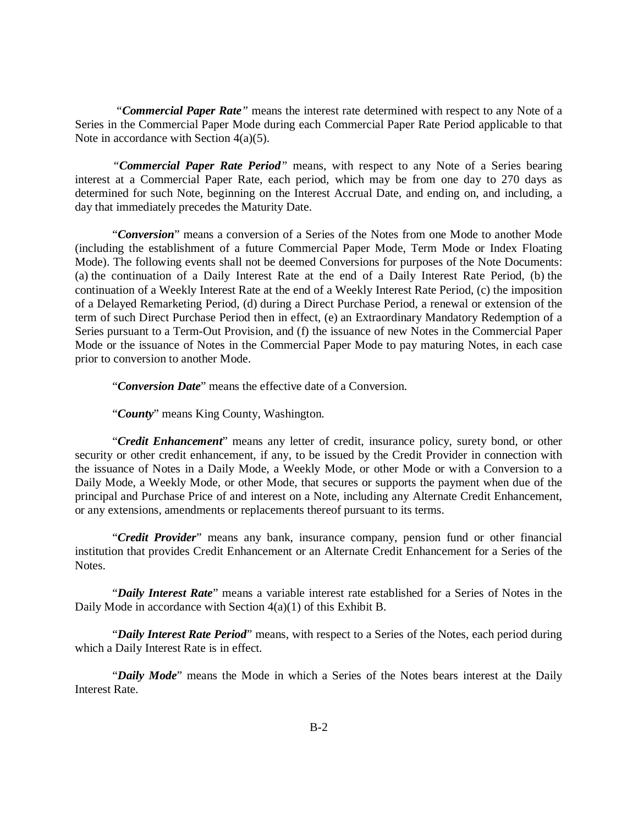*"Commercial Paper Rate"* means the interest rate determined with respect to any Note of a Series in the Commercial Paper Mode during each Commercial Paper Rate Period applicable to that Note in accordance with Section 4(a)(5).

*"Commercial Paper Rate Period"* means, with respect to any Note of a Series bearing interest at a Commercial Paper Rate, each period, which may be from one day to 270 days as determined for such Note, beginning on the Interest Accrual Date, and ending on, and including, a day that immediately precedes the Maturity Date.

"*Conversion*" means a conversion of a Series of the Notes from one Mode to another Mode (including the establishment of a future Commercial Paper Mode, Term Mode or Index Floating Mode). The following events shall not be deemed Conversions for purposes of the Note Documents: (a) the continuation of a Daily Interest Rate at the end of a Daily Interest Rate Period, (b) the continuation of a Weekly Interest Rate at the end of a Weekly Interest Rate Period, (c) the imposition of a Delayed Remarketing Period, (d) during a Direct Purchase Period, a renewal or extension of the term of such Direct Purchase Period then in effect, (e) an Extraordinary Mandatory Redemption of a Series pursuant to a Term-Out Provision, and (f) the issuance of new Notes in the Commercial Paper Mode or the issuance of Notes in the Commercial Paper Mode to pay maturing Notes, in each case prior to conversion to another Mode.

"*Conversion Date*" means the effective date of a Conversion.

"*County*" means King County, Washington.

"*Credit Enhancement*" means any letter of credit, insurance policy, surety bond, or other security or other credit enhancement, if any, to be issued by the Credit Provider in connection with the issuance of Notes in a Daily Mode, a Weekly Mode, or other Mode or with a Conversion to a Daily Mode, a Weekly Mode, or other Mode, that secures or supports the payment when due of the principal and Purchase Price of and interest on a Note, including any Alternate Credit Enhancement, or any extensions, amendments or replacements thereof pursuant to its terms.

"*Credit Provider*" means any bank, insurance company, pension fund or other financial institution that provides Credit Enhancement or an Alternate Credit Enhancement for a Series of the Notes.

"*Daily Interest Rate*" means a variable interest rate established for a Series of Notes in the Daily Mode in accordance with Section 4(a)(1) of this Exhibit B.

"*Daily Interest Rate Period*" means, with respect to a Series of the Notes, each period during which a Daily Interest Rate is in effect.

"*Daily Mode*" means the Mode in which a Series of the Notes bears interest at the Daily Interest Rate.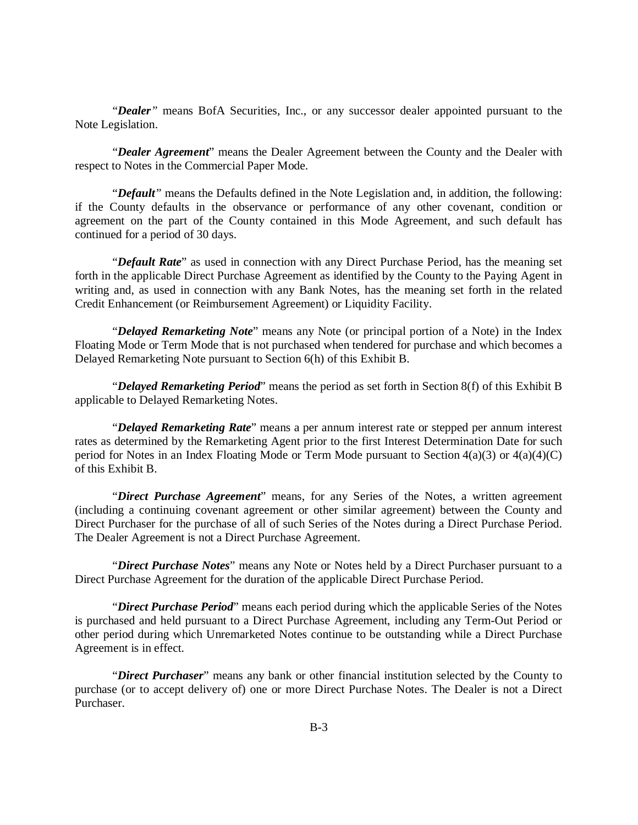"*Dealer"* means BofA Securities, Inc., or any successor dealer appointed pursuant to the Note Legislation.

"*Dealer Agreement*" means the Dealer Agreement between the County and the Dealer with respect to Notes in the Commercial Paper Mode.

"*Default"* means the Defaults defined in the Note Legislation and, in addition, the following: if the County defaults in the observance or performance of any other covenant, condition or agreement on the part of the County contained in this Mode Agreement, and such default has continued for a period of 30 days.

"*Default Rate*" as used in connection with any Direct Purchase Period, has the meaning set forth in the applicable Direct Purchase Agreement as identified by the County to the Paying Agent in writing and, as used in connection with any Bank Notes, has the meaning set forth in the related Credit Enhancement (or Reimbursement Agreement) or Liquidity Facility.

"*Delayed Remarketing Note*" means any Note (or principal portion of a Note) in the Index Floating Mode or Term Mode that is not purchased when tendered for purchase and which becomes a Delayed Remarketing Note pursuant to Section 6(h) of this Exhibit B.

"*Delayed Remarketing Period*" means the period as set forth in Section 8(f) of this Exhibit B applicable to Delayed Remarketing Notes.

"*Delayed Remarketing Rate*" means a per annum interest rate or stepped per annum interest rates as determined by the Remarketing Agent prior to the first Interest Determination Date for such period for Notes in an Index Floating Mode or Term Mode pursuant to Section 4(a)(3) or 4(a)(4)(C) of this Exhibit B.

"*Direct Purchase Agreement*" means, for any Series of the Notes, a written agreement (including a continuing covenant agreement or other similar agreement) between the County and Direct Purchaser for the purchase of all of such Series of the Notes during a Direct Purchase Period. The Dealer Agreement is not a Direct Purchase Agreement.

"*Direct Purchase Notes*" means any Note or Notes held by a Direct Purchaser pursuant to a Direct Purchase Agreement for the duration of the applicable Direct Purchase Period.

"*Direct Purchase Period*" means each period during which the applicable Series of the Notes is purchased and held pursuant to a Direct Purchase Agreement, including any Term-Out Period or other period during which Unremarketed Notes continue to be outstanding while a Direct Purchase Agreement is in effect.

"*Direct Purchaser*" means any bank or other financial institution selected by the County to purchase (or to accept delivery of) one or more Direct Purchase Notes. The Dealer is not a Direct Purchaser.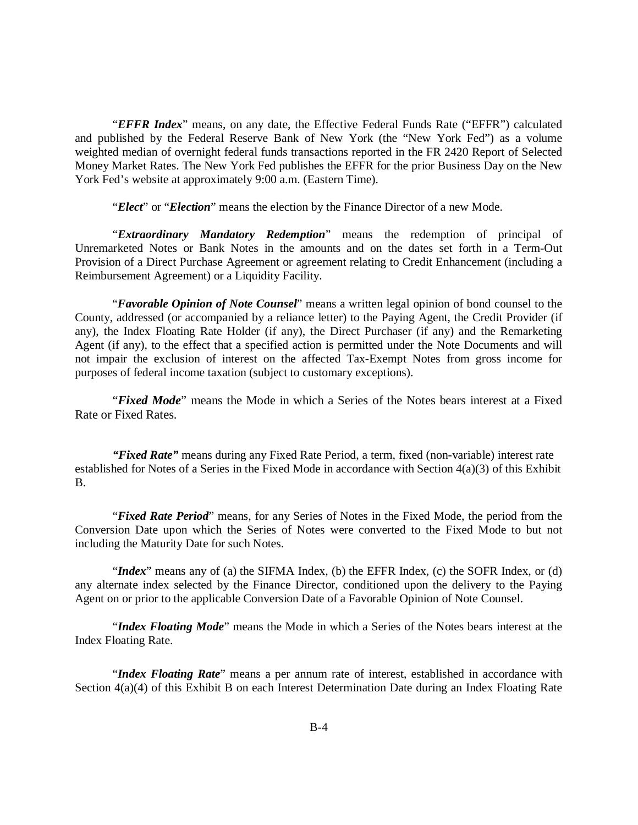"*EFFR Index*" means, on any date, the Effective Federal Funds Rate ("EFFR") calculated and published by the Federal Reserve Bank of New York (the "New York Fed") as a volume weighted median of overnight federal funds transactions reported in the FR 2420 Report of Selected Money Market Rates. The New York Fed publishes the EFFR for the prior Business Day on the New York Fed's website at approximately 9:00 a.m. (Eastern Time).

"*Elect*" or "*Election*" means the election by the Finance Director of a new Mode.

"*Extraordinary Mandatory Redemption*" means the redemption of principal of Unremarketed Notes or Bank Notes in the amounts and on the dates set forth in a Term-Out Provision of a Direct Purchase Agreement or agreement relating to Credit Enhancement (including a Reimbursement Agreement) or a Liquidity Facility.

"*Favorable Opinion of Note Counsel*" means a written legal opinion of bond counsel to the County, addressed (or accompanied by a reliance letter) to the Paying Agent, the Credit Provider (if any), the Index Floating Rate Holder (if any), the Direct Purchaser (if any) and the Remarketing Agent (if any), to the effect that a specified action is permitted under the Note Documents and will not impair the exclusion of interest on the affected Tax-Exempt Notes from gross income for purposes of federal income taxation (subject to customary exceptions).

"*Fixed Mode*" means the Mode in which a Series of the Notes bears interest at a Fixed Rate or Fixed Rates.

*"Fixed Rate"* means during any Fixed Rate Period, a term, fixed (non-variable) interest rate established for Notes of a Series in the Fixed Mode in accordance with Section 4(a)(3) of this Exhibit B.

"*Fixed Rate Period*" means, for any Series of Notes in the Fixed Mode, the period from the Conversion Date upon which the Series of Notes were converted to the Fixed Mode to but not including the Maturity Date for such Notes.

"*Index*" means any of (a) the SIFMA Index, (b) the EFFR Index, (c) the SOFR Index, or (d) any alternate index selected by the Finance Director, conditioned upon the delivery to the Paying Agent on or prior to the applicable Conversion Date of a Favorable Opinion of Note Counsel.

"*Index Floating Mode*" means the Mode in which a Series of the Notes bears interest at the Index Floating Rate.

"*Index Floating Rate*" means a per annum rate of interest, established in accordance with Section 4(a)(4) of this Exhibit B on each Interest Determination Date during an Index Floating Rate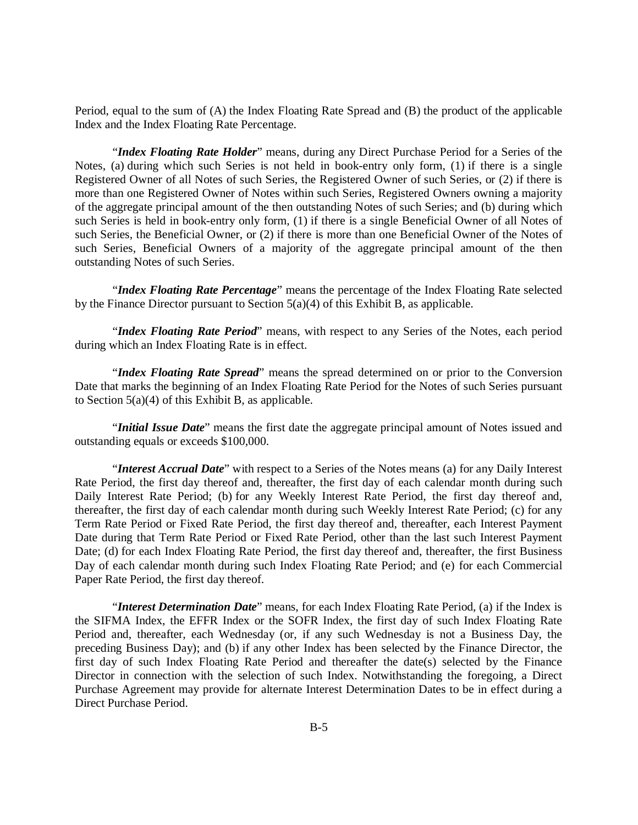Period, equal to the sum of (A) the Index Floating Rate Spread and (B) the product of the applicable Index and the Index Floating Rate Percentage.

"*Index Floating Rate Holder*" means, during any Direct Purchase Period for a Series of the Notes, (a) during which such Series is not held in book-entry only form, (1) if there is a single Registered Owner of all Notes of such Series, the Registered Owner of such Series, or (2) if there is more than one Registered Owner of Notes within such Series, Registered Owners owning a majority of the aggregate principal amount of the then outstanding Notes of such Series; and (b) during which such Series is held in book-entry only form, (1) if there is a single Beneficial Owner of all Notes of such Series, the Beneficial Owner, or (2) if there is more than one Beneficial Owner of the Notes of such Series, Beneficial Owners of a majority of the aggregate principal amount of the then outstanding Notes of such Series.

"*Index Floating Rate Percentage*" means the percentage of the Index Floating Rate selected by the Finance Director pursuant to Section 5(a)(4) of this Exhibit B, as applicable.

"*Index Floating Rate Period*" means, with respect to any Series of the Notes, each period during which an Index Floating Rate is in effect.

"*Index Floating Rate Spread*" means the spread determined on or prior to the Conversion Date that marks the beginning of an Index Floating Rate Period for the Notes of such Series pursuant to Section  $5(a)(4)$  of this Exhibit B, as applicable.

"*Initial Issue Date*" means the first date the aggregate principal amount of Notes issued and outstanding equals or exceeds \$100,000.

"*Interest Accrual Date*" with respect to a Series of the Notes means (a) for any Daily Interest Rate Period, the first day thereof and, thereafter, the first day of each calendar month during such Daily Interest Rate Period; (b) for any Weekly Interest Rate Period, the first day thereof and, thereafter, the first day of each calendar month during such Weekly Interest Rate Period; (c) for any Term Rate Period or Fixed Rate Period, the first day thereof and, thereafter, each Interest Payment Date during that Term Rate Period or Fixed Rate Period, other than the last such Interest Payment Date; (d) for each Index Floating Rate Period, the first day thereof and, thereafter, the first Business Day of each calendar month during such Index Floating Rate Period; and (e) for each Commercial Paper Rate Period, the first day thereof.

"*Interest Determination Date*" means, for each Index Floating Rate Period, (a) if the Index is the SIFMA Index, the EFFR Index or the SOFR Index, the first day of such Index Floating Rate Period and, thereafter, each Wednesday (or, if any such Wednesday is not a Business Day, the preceding Business Day); and (b) if any other Index has been selected by the Finance Director, the first day of such Index Floating Rate Period and thereafter the date(s) selected by the Finance Director in connection with the selection of such Index. Notwithstanding the foregoing, a Direct Purchase Agreement may provide for alternate Interest Determination Dates to be in effect during a Direct Purchase Period.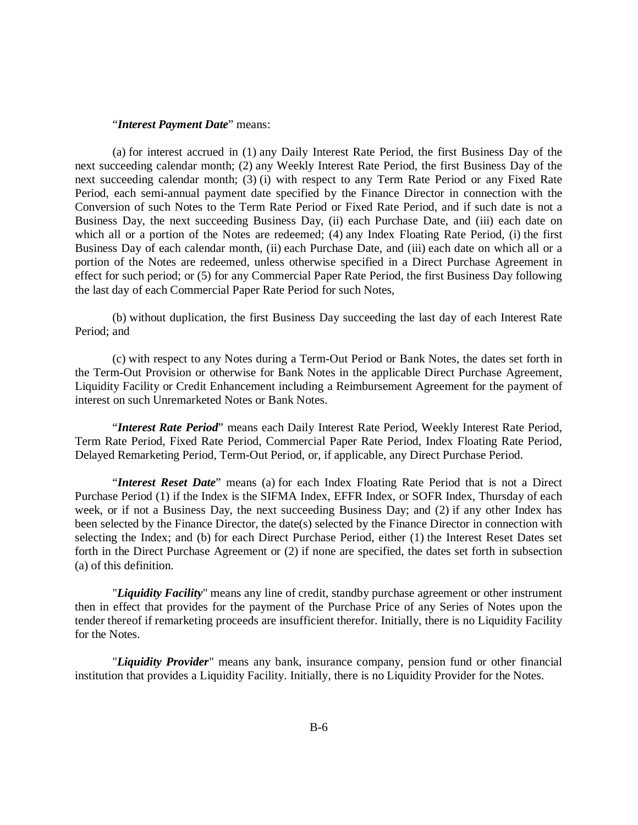#### "*Interest Payment Date*" means:

(a) for interest accrued in (1) any Daily Interest Rate Period, the first Business Day of the next succeeding calendar month; (2) any Weekly Interest Rate Period, the first Business Day of the next succeeding calendar month; (3) (i) with respect to any Term Rate Period or any Fixed Rate Period, each semi-annual payment date specified by the Finance Director in connection with the Conversion of such Notes to the Term Rate Period or Fixed Rate Period, and if such date is not a Business Day, the next succeeding Business Day, (ii) each Purchase Date, and (iii) each date on which all or a portion of the Notes are redeemed; (4) any Index Floating Rate Period, (i) the first Business Day of each calendar month, (ii) each Purchase Date, and (iii) each date on which all or a portion of the Notes are redeemed, unless otherwise specified in a Direct Purchase Agreement in effect for such period; or (5) for any Commercial Paper Rate Period, the first Business Day following the last day of each Commercial Paper Rate Period for such Notes,

(b) without duplication, the first Business Day succeeding the last day of each Interest Rate Period; and

(c) with respect to any Notes during a Term-Out Period or Bank Notes, the dates set forth in the Term-Out Provision or otherwise for Bank Notes in the applicable Direct Purchase Agreement, Liquidity Facility or Credit Enhancement including a Reimbursement Agreement for the payment of interest on such Unremarketed Notes or Bank Notes.

"*Interest Rate Period*" means each Daily Interest Rate Period, Weekly Interest Rate Period, Term Rate Period, Fixed Rate Period, Commercial Paper Rate Period, Index Floating Rate Period, Delayed Remarketing Period, Term-Out Period, or, if applicable, any Direct Purchase Period.

"*Interest Reset Date*" means (a) for each Index Floating Rate Period that is not a Direct Purchase Period (1) if the Index is the SIFMA Index, EFFR Index, or SOFR Index, Thursday of each week, or if not a Business Day, the next succeeding Business Day; and (2) if any other Index has been selected by the Finance Director, the date(s) selected by the Finance Director in connection with selecting the Index; and (b) for each Direct Purchase Period, either (1) the Interest Reset Dates set forth in the Direct Purchase Agreement or (2) if none are specified, the dates set forth in subsection (a) of this definition.

"*Liquidity Facility*" means any line of credit, standby purchase agreement or other instrument then in effect that provides for the payment of the Purchase Price of any Series of Notes upon the tender thereof if remarketing proceeds are insufficient therefor. Initially, there is no Liquidity Facility for the Notes.

"*Liquidity Provider*" means any bank, insurance company, pension fund or other financial institution that provides a Liquidity Facility. Initially, there is no Liquidity Provider for the Notes.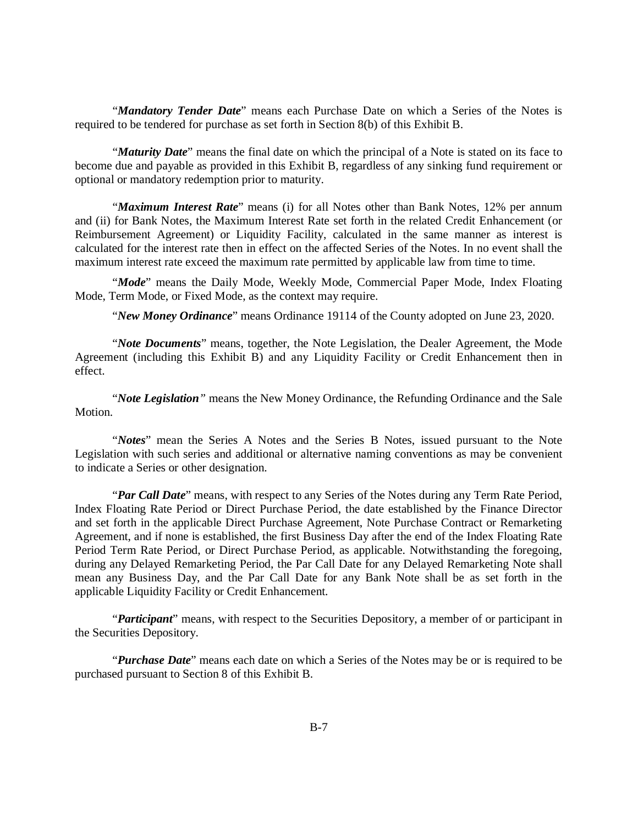"*Mandatory Tender Date*" means each Purchase Date on which a Series of the Notes is required to be tendered for purchase as set forth in Section 8(b) of this Exhibit B.

"*Maturity Date*" means the final date on which the principal of a Note is stated on its face to become due and payable as provided in this Exhibit B, regardless of any sinking fund requirement or optional or mandatory redemption prior to maturity.

"*Maximum Interest Rate*" means (i) for all Notes other than Bank Notes, 12% per annum and (ii) for Bank Notes, the Maximum Interest Rate set forth in the related Credit Enhancement (or Reimbursement Agreement) or Liquidity Facility, calculated in the same manner as interest is calculated for the interest rate then in effect on the affected Series of the Notes. In no event shall the maximum interest rate exceed the maximum rate permitted by applicable law from time to time.

"*Mode*" means the Daily Mode, Weekly Mode, Commercial Paper Mode, Index Floating Mode, Term Mode, or Fixed Mode, as the context may require.

"*New Money Ordinance*" means Ordinance 19114 of the County adopted on June 23, 2020.

"*Note Documents*" means, together, the Note Legislation, the Dealer Agreement, the Mode Agreement (including this Exhibit B) and any Liquidity Facility or Credit Enhancement then in effect.

"*Note Legislation"* means the New Money Ordinance, the Refunding Ordinance and the Sale Motion.

"*Notes*" mean the Series A Notes and the Series B Notes, issued pursuant to the Note Legislation with such series and additional or alternative naming conventions as may be convenient to indicate a Series or other designation.

"*Par Call Date*" means, with respect to any Series of the Notes during any Term Rate Period, Index Floating Rate Period or Direct Purchase Period, the date established by the Finance Director and set forth in the applicable Direct Purchase Agreement, Note Purchase Contract or Remarketing Agreement, and if none is established, the first Business Day after the end of the Index Floating Rate Period Term Rate Period, or Direct Purchase Period, as applicable. Notwithstanding the foregoing, during any Delayed Remarketing Period, the Par Call Date for any Delayed Remarketing Note shall mean any Business Day, and the Par Call Date for any Bank Note shall be as set forth in the applicable Liquidity Facility or Credit Enhancement.

"*Participant*" means, with respect to the Securities Depository, a member of or participant in the Securities Depository.

"*Purchase Date*" means each date on which a Series of the Notes may be or is required to be purchased pursuant to Section 8 of this Exhibit B.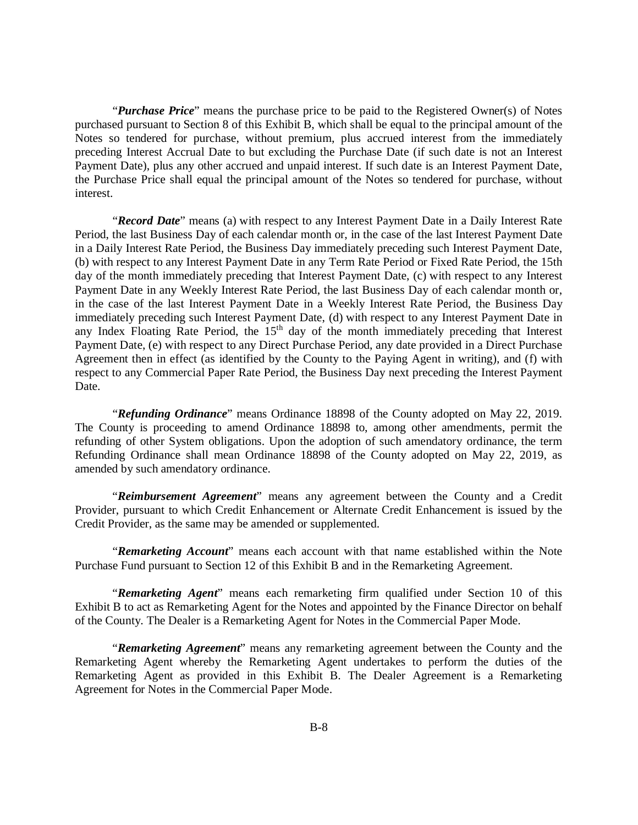"*Purchase Price*" means the purchase price to be paid to the Registered Owner(s) of Notes purchased pursuant to Section 8 of this Exhibit B, which shall be equal to the principal amount of the Notes so tendered for purchase, without premium, plus accrued interest from the immediately preceding Interest Accrual Date to but excluding the Purchase Date (if such date is not an Interest Payment Date), plus any other accrued and unpaid interest. If such date is an Interest Payment Date, the Purchase Price shall equal the principal amount of the Notes so tendered for purchase, without interest.

"*Record Date*" means (a) with respect to any Interest Payment Date in a Daily Interest Rate Period, the last Business Day of each calendar month or, in the case of the last Interest Payment Date in a Daily Interest Rate Period, the Business Day immediately preceding such Interest Payment Date, (b) with respect to any Interest Payment Date in any Term Rate Period or Fixed Rate Period, the 15th day of the month immediately preceding that Interest Payment Date, (c) with respect to any Interest Payment Date in any Weekly Interest Rate Period, the last Business Day of each calendar month or, in the case of the last Interest Payment Date in a Weekly Interest Rate Period, the Business Day immediately preceding such Interest Payment Date, (d) with respect to any Interest Payment Date in any Index Floating Rate Period, the 15<sup>th</sup> day of the month immediately preceding that Interest Payment Date, (e) with respect to any Direct Purchase Period, any date provided in a Direct Purchase Agreement then in effect (as identified by the County to the Paying Agent in writing), and (f) with respect to any Commercial Paper Rate Period, the Business Day next preceding the Interest Payment Date.

"*Refunding Ordinance*" means Ordinance 18898 of the County adopted on May 22, 2019. The County is proceeding to amend Ordinance 18898 to, among other amendments, permit the refunding of other System obligations. Upon the adoption of such amendatory ordinance, the term Refunding Ordinance shall mean Ordinance 18898 of the County adopted on May 22, 2019, as amended by such amendatory ordinance.

"*Reimbursement Agreement*" means any agreement between the County and a Credit Provider, pursuant to which Credit Enhancement or Alternate Credit Enhancement is issued by the Credit Provider, as the same may be amended or supplemented.

"*Remarketing Account*" means each account with that name established within the Note Purchase Fund pursuant to Section 12 of this Exhibit B and in the Remarketing Agreement.

"*Remarketing Agent*" means each remarketing firm qualified under Section 10 of this Exhibit B to act as Remarketing Agent for the Notes and appointed by the Finance Director on behalf of the County. The Dealer is a Remarketing Agent for Notes in the Commercial Paper Mode.

"*Remarketing Agreement*" means any remarketing agreement between the County and the Remarketing Agent whereby the Remarketing Agent undertakes to perform the duties of the Remarketing Agent as provided in this Exhibit B. The Dealer Agreement is a Remarketing Agreement for Notes in the Commercial Paper Mode.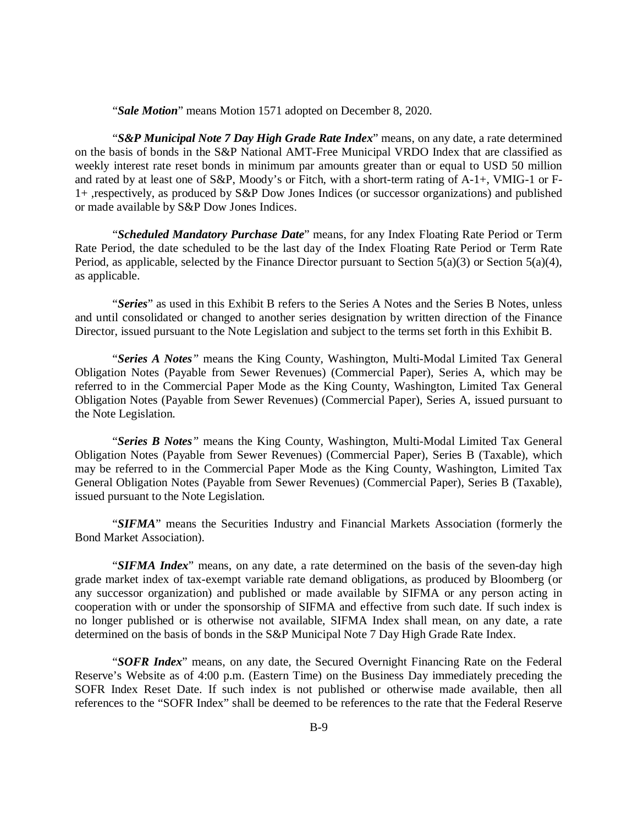"*Sale Motion*" means Motion 1571 adopted on December 8, 2020.

"*S&P Municipal Note 7 Day High Grade Rate Index*" means, on any date, a rate determined on the basis of bonds in the S&P National AMT-Free Municipal VRDO Index that are classified as weekly interest rate reset bonds in minimum par amounts greater than or equal to USD 50 million and rated by at least one of S&P, Moody's or Fitch, with a short-term rating of A-1+, VMIG-1 or F-1+ ,respectively, as produced by S&P Dow Jones Indices (or successor organizations) and published or made available by S&P Dow Jones Indices.

"*Scheduled Mandatory Purchase Date*" means, for any Index Floating Rate Period or Term Rate Period, the date scheduled to be the last day of the Index Floating Rate Period or Term Rate Period, as applicable, selected by the Finance Director pursuant to Section  $5(a)(3)$  or Section  $5(a)(4)$ , as applicable.

"*Series*" as used in this Exhibit B refers to the Series A Notes and the Series B Notes, unless and until consolidated or changed to another series designation by written direction of the Finance Director, issued pursuant to the Note Legislation and subject to the terms set forth in this Exhibit B.

"*Series A Notes"* means the King County, Washington, Multi-Modal Limited Tax General Obligation Notes (Payable from Sewer Revenues) (Commercial Paper), Series A, which may be referred to in the Commercial Paper Mode as the King County, Washington, Limited Tax General Obligation Notes (Payable from Sewer Revenues) (Commercial Paper), Series A, issued pursuant to the Note Legislation.

"*Series B Notes"* means the King County, Washington, Multi-Modal Limited Tax General Obligation Notes (Payable from Sewer Revenues) (Commercial Paper), Series B (Taxable), which may be referred to in the Commercial Paper Mode as the King County, Washington, Limited Tax General Obligation Notes (Payable from Sewer Revenues) (Commercial Paper), Series B (Taxable), issued pursuant to the Note Legislation.

"*SIFMA*" means the Securities Industry and Financial Markets Association (formerly the Bond Market Association).

"*SIFMA Index*" means, on any date, a rate determined on the basis of the seven-day high grade market index of tax-exempt variable rate demand obligations, as produced by Bloomberg (or any successor organization) and published or made available by SIFMA or any person acting in cooperation with or under the sponsorship of SIFMA and effective from such date. If such index is no longer published or is otherwise not available, SIFMA Index shall mean, on any date, a rate determined on the basis of bonds in the S&P Municipal Note 7 Day High Grade Rate Index.

"*SOFR Index*" means, on any date, the Secured Overnight Financing Rate on the Federal Reserve's Website as of 4:00 p.m. (Eastern Time) on the Business Day immediately preceding the SOFR Index Reset Date. If such index is not published or otherwise made available, then all references to the "SOFR Index" shall be deemed to be references to the rate that the Federal Reserve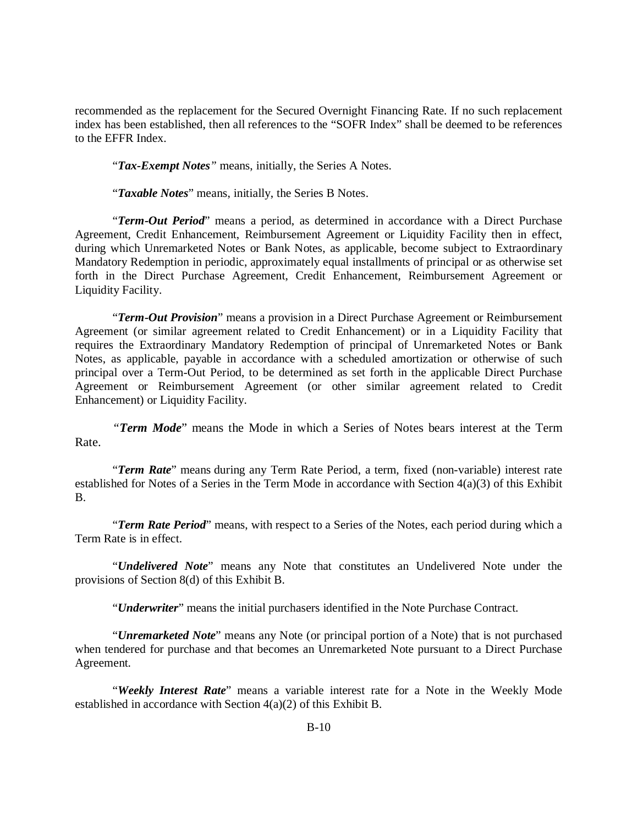recommended as the replacement for the Secured Overnight Financing Rate. If no such replacement index has been established, then all references to the "SOFR Index" shall be deemed to be references to the EFFR Index.

"*Tax-Exempt Notes"* means, initially, the Series A Notes.

"*Taxable Notes*" means, initially, the Series B Notes.

"*Term-Out Period*" means a period, as determined in accordance with a Direct Purchase Agreement, Credit Enhancement, Reimbursement Agreement or Liquidity Facility then in effect, during which Unremarketed Notes or Bank Notes, as applicable, become subject to Extraordinary Mandatory Redemption in periodic, approximately equal installments of principal or as otherwise set forth in the Direct Purchase Agreement, Credit Enhancement, Reimbursement Agreement or Liquidity Facility.

"*Term-Out Provision*" means a provision in a Direct Purchase Agreement or Reimbursement Agreement (or similar agreement related to Credit Enhancement) or in a Liquidity Facility that requires the Extraordinary Mandatory Redemption of principal of Unremarketed Notes or Bank Notes, as applicable, payable in accordance with a scheduled amortization or otherwise of such principal over a Term-Out Period, to be determined as set forth in the applicable Direct Purchase Agreement or Reimbursement Agreement (or other similar agreement related to Credit Enhancement) or Liquidity Facility.

*"Term Mode*" means the Mode in which a Series of Notes bears interest at the Term Rate.

"*Term Rate*" means during any Term Rate Period, a term, fixed (non-variable) interest rate established for Notes of a Series in the Term Mode in accordance with Section 4(a)(3) of this Exhibit B.

"*Term Rate Period*" means, with respect to a Series of the Notes, each period during which a Term Rate is in effect.

"*Undelivered Note*" means any Note that constitutes an Undelivered Note under the provisions of Section 8(d) of this Exhibit B.

"*Underwriter*" means the initial purchasers identified in the Note Purchase Contract.

"*Unremarketed Note*" means any Note (or principal portion of a Note) that is not purchased when tendered for purchase and that becomes an Unremarketed Note pursuant to a Direct Purchase Agreement.

"*Weekly Interest Rate*" means a variable interest rate for a Note in the Weekly Mode established in accordance with Section 4(a)(2) of this Exhibit B.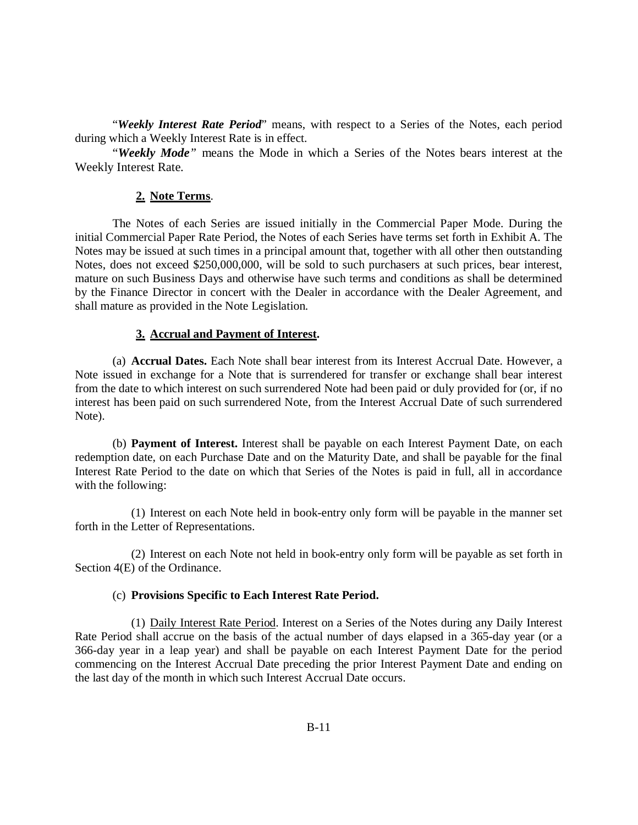"*Weekly Interest Rate Period*" means, with respect to a Series of the Notes, each period during which a Weekly Interest Rate is in effect.

"*Weekly Mode"* means the Mode in which a Series of the Notes bears interest at the Weekly Interest Rate.

## **2. Note Terms**.

The Notes of each Series are issued initially in the Commercial Paper Mode. During the initial Commercial Paper Rate Period, the Notes of each Series have terms set forth in Exhibit A. The Notes may be issued at such times in a principal amount that, together with all other then outstanding Notes, does not exceed \$250,000,000, will be sold to such purchasers at such prices, bear interest, mature on such Business Days and otherwise have such terms and conditions as shall be determined by the Finance Director in concert with the Dealer in accordance with the Dealer Agreement, and shall mature as provided in the Note Legislation.

### **3. Accrual and Payment of Interest.**

(a) **Accrual Dates.** Each Note shall bear interest from its Interest Accrual Date. However, a Note issued in exchange for a Note that is surrendered for transfer or exchange shall bear interest from the date to which interest on such surrendered Note had been paid or duly provided for (or, if no interest has been paid on such surrendered Note, from the Interest Accrual Date of such surrendered Note).

(b) **Payment of Interest.** Interest shall be payable on each Interest Payment Date, on each redemption date, on each Purchase Date and on the Maturity Date, and shall be payable for the final Interest Rate Period to the date on which that Series of the Notes is paid in full, all in accordance with the following:

(1) Interest on each Note held in book-entry only form will be payable in the manner set forth in the Letter of Representations.

(2) Interest on each Note not held in book-entry only form will be payable as set forth in Section 4(E) of the Ordinance.

### (c) **Provisions Specific to Each Interest Rate Period.**

(1) Daily Interest Rate Period. Interest on a Series of the Notes during any Daily Interest Rate Period shall accrue on the basis of the actual number of days elapsed in a 365-day year (or a 366-day year in a leap year) and shall be payable on each Interest Payment Date for the period commencing on the Interest Accrual Date preceding the prior Interest Payment Date and ending on the last day of the month in which such Interest Accrual Date occurs.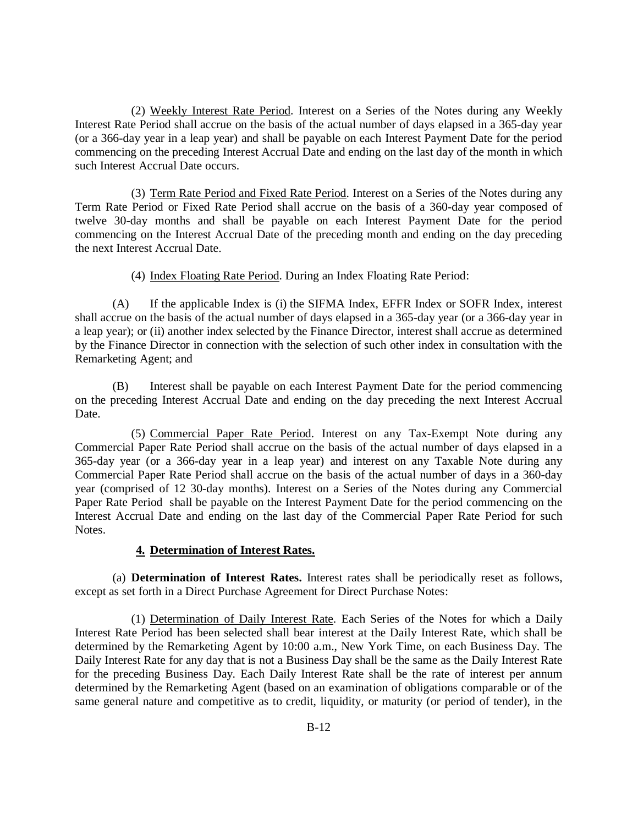(2) Weekly Interest Rate Period. Interest on a Series of the Notes during any Weekly Interest Rate Period shall accrue on the basis of the actual number of days elapsed in a 365-day year (or a 366-day year in a leap year) and shall be payable on each Interest Payment Date for the period commencing on the preceding Interest Accrual Date and ending on the last day of the month in which such Interest Accrual Date occurs.

(3) Term Rate Period and Fixed Rate Period. Interest on a Series of the Notes during any Term Rate Period or Fixed Rate Period shall accrue on the basis of a 360-day year composed of twelve 30-day months and shall be payable on each Interest Payment Date for the period commencing on the Interest Accrual Date of the preceding month and ending on the day preceding the next Interest Accrual Date.

(4) Index Floating Rate Period. During an Index Floating Rate Period:

(A) If the applicable Index is (i) the SIFMA Index, EFFR Index or SOFR Index, interest shall accrue on the basis of the actual number of days elapsed in a 365-day year (or a 366-day year in a leap year); or (ii) another index selected by the Finance Director, interest shall accrue as determined by the Finance Director in connection with the selection of such other index in consultation with the Remarketing Agent; and

(B) Interest shall be payable on each Interest Payment Date for the period commencing on the preceding Interest Accrual Date and ending on the day preceding the next Interest Accrual Date.

(5) Commercial Paper Rate Period. Interest on any Tax-Exempt Note during any Commercial Paper Rate Period shall accrue on the basis of the actual number of days elapsed in a 365-day year (or a 366-day year in a leap year) and interest on any Taxable Note during any Commercial Paper Rate Period shall accrue on the basis of the actual number of days in a 360-day year (comprised of 12 30-day months). Interest on a Series of the Notes during any Commercial Paper Rate Period shall be payable on the Interest Payment Date for the period commencing on the Interest Accrual Date and ending on the last day of the Commercial Paper Rate Period for such Notes.

# **4. Determination of Interest Rates.**

(a) **Determination of Interest Rates.** Interest rates shall be periodically reset as follows, except as set forth in a Direct Purchase Agreement for Direct Purchase Notes:

(1) Determination of Daily Interest Rate. Each Series of the Notes for which a Daily Interest Rate Period has been selected shall bear interest at the Daily Interest Rate, which shall be determined by the Remarketing Agent by 10:00 a.m., New York Time, on each Business Day. The Daily Interest Rate for any day that is not a Business Day shall be the same as the Daily Interest Rate for the preceding Business Day. Each Daily Interest Rate shall be the rate of interest per annum determined by the Remarketing Agent (based on an examination of obligations comparable or of the same general nature and competitive as to credit, liquidity, or maturity (or period of tender), in the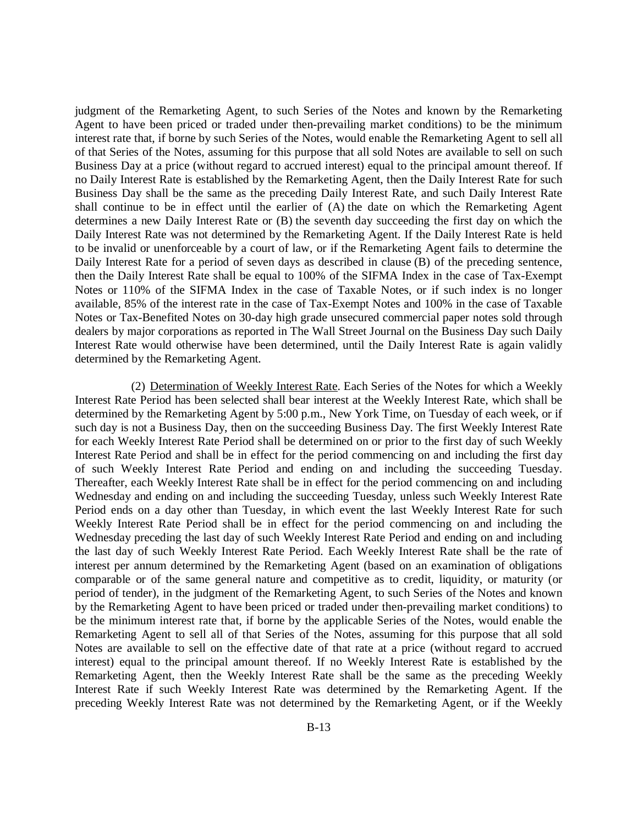judgment of the Remarketing Agent, to such Series of the Notes and known by the Remarketing Agent to have been priced or traded under then-prevailing market conditions) to be the minimum interest rate that, if borne by such Series of the Notes, would enable the Remarketing Agent to sell all of that Series of the Notes, assuming for this purpose that all sold Notes are available to sell on such Business Day at a price (without regard to accrued interest) equal to the principal amount thereof. If no Daily Interest Rate is established by the Remarketing Agent, then the Daily Interest Rate for such Business Day shall be the same as the preceding Daily Interest Rate, and such Daily Interest Rate shall continue to be in effect until the earlier of (A) the date on which the Remarketing Agent determines a new Daily Interest Rate or (B) the seventh day succeeding the first day on which the Daily Interest Rate was not determined by the Remarketing Agent. If the Daily Interest Rate is held to be invalid or unenforceable by a court of law, or if the Remarketing Agent fails to determine the Daily Interest Rate for a period of seven days as described in clause (B) of the preceding sentence, then the Daily Interest Rate shall be equal to 100% of the SIFMA Index in the case of Tax-Exempt Notes or 110% of the SIFMA Index in the case of Taxable Notes, or if such index is no longer available, 85% of the interest rate in the case of Tax-Exempt Notes and 100% in the case of Taxable Notes or Tax-Benefited Notes on 30-day high grade unsecured commercial paper notes sold through dealers by major corporations as reported in The Wall Street Journal on the Business Day such Daily Interest Rate would otherwise have been determined, until the Daily Interest Rate is again validly determined by the Remarketing Agent.

(2) Determination of Weekly Interest Rate. Each Series of the Notes for which a Weekly Interest Rate Period has been selected shall bear interest at the Weekly Interest Rate, which shall be determined by the Remarketing Agent by 5:00 p.m., New York Time, on Tuesday of each week, or if such day is not a Business Day, then on the succeeding Business Day. The first Weekly Interest Rate for each Weekly Interest Rate Period shall be determined on or prior to the first day of such Weekly Interest Rate Period and shall be in effect for the period commencing on and including the first day of such Weekly Interest Rate Period and ending on and including the succeeding Tuesday. Thereafter, each Weekly Interest Rate shall be in effect for the period commencing on and including Wednesday and ending on and including the succeeding Tuesday, unless such Weekly Interest Rate Period ends on a day other than Tuesday, in which event the last Weekly Interest Rate for such Weekly Interest Rate Period shall be in effect for the period commencing on and including the Wednesday preceding the last day of such Weekly Interest Rate Period and ending on and including the last day of such Weekly Interest Rate Period. Each Weekly Interest Rate shall be the rate of interest per annum determined by the Remarketing Agent (based on an examination of obligations comparable or of the same general nature and competitive as to credit, liquidity, or maturity (or period of tender), in the judgment of the Remarketing Agent, to such Series of the Notes and known by the Remarketing Agent to have been priced or traded under then-prevailing market conditions) to be the minimum interest rate that, if borne by the applicable Series of the Notes, would enable the Remarketing Agent to sell all of that Series of the Notes, assuming for this purpose that all sold Notes are available to sell on the effective date of that rate at a price (without regard to accrued interest) equal to the principal amount thereof. If no Weekly Interest Rate is established by the Remarketing Agent, then the Weekly Interest Rate shall be the same as the preceding Weekly Interest Rate if such Weekly Interest Rate was determined by the Remarketing Agent. If the preceding Weekly Interest Rate was not determined by the Remarketing Agent, or if the Weekly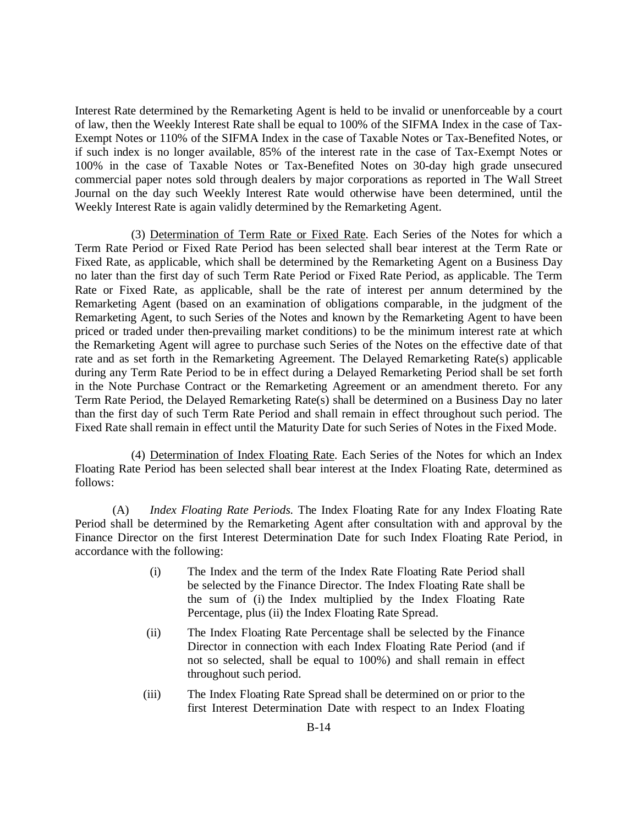Interest Rate determined by the Remarketing Agent is held to be invalid or unenforceable by a court of law, then the Weekly Interest Rate shall be equal to 100% of the SIFMA Index in the case of Tax-Exempt Notes or 110% of the SIFMA Index in the case of Taxable Notes or Tax-Benefited Notes, or if such index is no longer available, 85% of the interest rate in the case of Tax-Exempt Notes or 100% in the case of Taxable Notes or Tax-Benefited Notes on 30-day high grade unsecured commercial paper notes sold through dealers by major corporations as reported in The Wall Street Journal on the day such Weekly Interest Rate would otherwise have been determined, until the Weekly Interest Rate is again validly determined by the Remarketing Agent.

(3) Determination of Term Rate or Fixed Rate. Each Series of the Notes for which a Term Rate Period or Fixed Rate Period has been selected shall bear interest at the Term Rate or Fixed Rate, as applicable, which shall be determined by the Remarketing Agent on a Business Day no later than the first day of such Term Rate Period or Fixed Rate Period, as applicable. The Term Rate or Fixed Rate, as applicable, shall be the rate of interest per annum determined by the Remarketing Agent (based on an examination of obligations comparable, in the judgment of the Remarketing Agent, to such Series of the Notes and known by the Remarketing Agent to have been priced or traded under then-prevailing market conditions) to be the minimum interest rate at which the Remarketing Agent will agree to purchase such Series of the Notes on the effective date of that rate and as set forth in the Remarketing Agreement. The Delayed Remarketing Rate(s) applicable during any Term Rate Period to be in effect during a Delayed Remarketing Period shall be set forth in the Note Purchase Contract or the Remarketing Agreement or an amendment thereto. For any Term Rate Period, the Delayed Remarketing Rate(s) shall be determined on a Business Day no later than the first day of such Term Rate Period and shall remain in effect throughout such period. The Fixed Rate shall remain in effect until the Maturity Date for such Series of Notes in the Fixed Mode.

(4) Determination of Index Floating Rate. Each Series of the Notes for which an Index Floating Rate Period has been selected shall bear interest at the Index Floating Rate, determined as follows:

(A) *Index Floating Rate Periods.* The Index Floating Rate for any Index Floating Rate Period shall be determined by the Remarketing Agent after consultation with and approval by the Finance Director on the first Interest Determination Date for such Index Floating Rate Period, in accordance with the following:

- (i) The Index and the term of the Index Rate Floating Rate Period shall be selected by the Finance Director. The Index Floating Rate shall be the sum of (i) the Index multiplied by the Index Floating Rate Percentage, plus (ii) the Index Floating Rate Spread.
- (ii) The Index Floating Rate Percentage shall be selected by the Finance Director in connection with each Index Floating Rate Period (and if not so selected, shall be equal to 100%) and shall remain in effect throughout such period.
- (iii) The Index Floating Rate Spread shall be determined on or prior to the first Interest Determination Date with respect to an Index Floating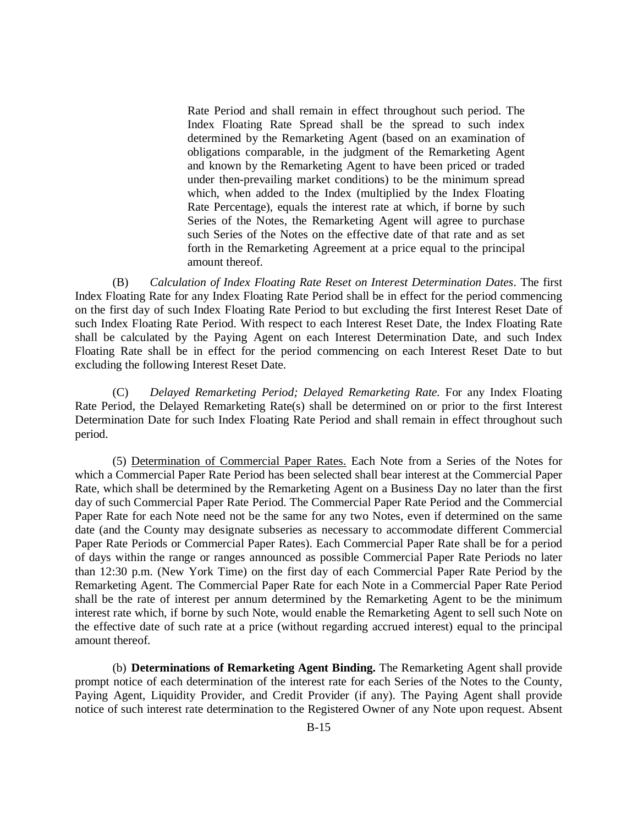Rate Period and shall remain in effect throughout such period. The Index Floating Rate Spread shall be the spread to such index determined by the Remarketing Agent (based on an examination of obligations comparable, in the judgment of the Remarketing Agent and known by the Remarketing Agent to have been priced or traded under then-prevailing market conditions) to be the minimum spread which, when added to the Index (multiplied by the Index Floating Rate Percentage), equals the interest rate at which, if borne by such Series of the Notes, the Remarketing Agent will agree to purchase such Series of the Notes on the effective date of that rate and as set forth in the Remarketing Agreement at a price equal to the principal amount thereof.

(B) *Calculation of Index Floating Rate Reset on Interest Determination Dates*. The first Index Floating Rate for any Index Floating Rate Period shall be in effect for the period commencing on the first day of such Index Floating Rate Period to but excluding the first Interest Reset Date of such Index Floating Rate Period. With respect to each Interest Reset Date, the Index Floating Rate shall be calculated by the Paying Agent on each Interest Determination Date, and such Index Floating Rate shall be in effect for the period commencing on each Interest Reset Date to but excluding the following Interest Reset Date.

(C) *Delayed Remarketing Period; Delayed Remarketing Rate.* For any Index Floating Rate Period, the Delayed Remarketing Rate(s) shall be determined on or prior to the first Interest Determination Date for such Index Floating Rate Period and shall remain in effect throughout such period.

(5) Determination of Commercial Paper Rates. Each Note from a Series of the Notes for which a Commercial Paper Rate Period has been selected shall bear interest at the Commercial Paper Rate, which shall be determined by the Remarketing Agent on a Business Day no later than the first day of such Commercial Paper Rate Period. The Commercial Paper Rate Period and the Commercial Paper Rate for each Note need not be the same for any two Notes, even if determined on the same date (and the County may designate subseries as necessary to accommodate different Commercial Paper Rate Periods or Commercial Paper Rates). Each Commercial Paper Rate shall be for a period of days within the range or ranges announced as possible Commercial Paper Rate Periods no later than 12:30 p.m. (New York Time) on the first day of each Commercial Paper Rate Period by the Remarketing Agent. The Commercial Paper Rate for each Note in a Commercial Paper Rate Period shall be the rate of interest per annum determined by the Remarketing Agent to be the minimum interest rate which, if borne by such Note, would enable the Remarketing Agent to sell such Note on the effective date of such rate at a price (without regarding accrued interest) equal to the principal amount thereof.

(b) **Determinations of Remarketing Agent Binding.** The Remarketing Agent shall provide prompt notice of each determination of the interest rate for each Series of the Notes to the County, Paying Agent, Liquidity Provider, and Credit Provider (if any). The Paying Agent shall provide notice of such interest rate determination to the Registered Owner of any Note upon request. Absent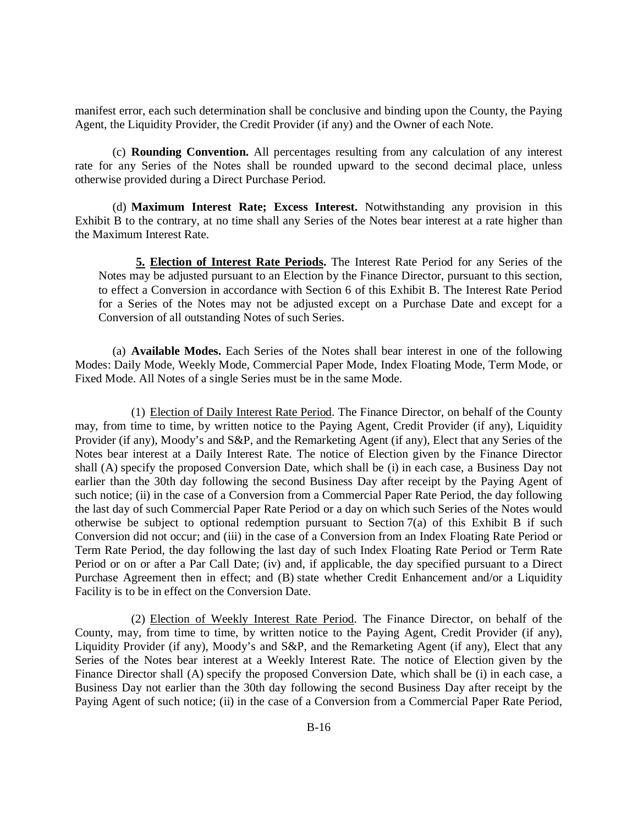manifest error, each such determination shall be conclusive and binding upon the County, the Paying Agent, the Liquidity Provider, the Credit Provider (if any) and the Owner of each Note.

(c) **Rounding Convention.** All percentages resulting from any calculation of any interest rate for any Series of the Notes shall be rounded upward to the second decimal place, unless otherwise provided during a Direct Purchase Period.

(d) **Maximum Interest Rate; Excess Interest.** Notwithstanding any provision in this Exhibit B to the contrary, at no time shall any Series of the Notes bear interest at a rate higher than the Maximum Interest Rate.

**5. Election of Interest Rate Periods.** The Interest Rate Period for any Series of the Notes may be adjusted pursuant to an Election by the Finance Director, pursuant to this section, to effect a Conversion in accordance with Section 6 of this Exhibit B. The Interest Rate Period for a Series of the Notes may not be adjusted except on a Purchase Date and except for a Conversion of all outstanding Notes of such Series.

(a) **Available Modes.** Each Series of the Notes shall bear interest in one of the following Modes: Daily Mode, Weekly Mode, Commercial Paper Mode, Index Floating Mode, Term Mode, or Fixed Mode. All Notes of a single Series must be in the same Mode.

(1) Election of Daily Interest Rate Period. The Finance Director, on behalf of the County may, from time to time, by written notice to the Paying Agent, Credit Provider (if any), Liquidity Provider (if any), Moody's and S&P, and the Remarketing Agent (if any), Elect that any Series of the Notes bear interest at a Daily Interest Rate. The notice of Election given by the Finance Director shall (A) specify the proposed Conversion Date, which shall be (i) in each case, a Business Day not earlier than the 30th day following the second Business Day after receipt by the Paying Agent of such notice; (ii) in the case of a Conversion from a Commercial Paper Rate Period, the day following the last day of such Commercial Paper Rate Period or a day on which such Series of the Notes would otherwise be subject to optional redemption pursuant to Section 7(a) of this Exhibit B if such Conversion did not occur; and (iii) in the case of a Conversion from an Index Floating Rate Period or Term Rate Period, the day following the last day of such Index Floating Rate Period or Term Rate Period or on or after a Par Call Date; (iv) and, if applicable, the day specified pursuant to a Direct Purchase Agreement then in effect; and (B) state whether Credit Enhancement and/or a Liquidity Facility is to be in effect on the Conversion Date.

(2) Election of Weekly Interest Rate Period. The Finance Director, on behalf of the County, may, from time to time, by written notice to the Paying Agent, Credit Provider (if any), Liquidity Provider (if any), Moody's and S&P, and the Remarketing Agent (if any), Elect that any Series of the Notes bear interest at a Weekly Interest Rate. The notice of Election given by the Finance Director shall (A) specify the proposed Conversion Date, which shall be (i) in each case, a Business Day not earlier than the 30th day following the second Business Day after receipt by the Paying Agent of such notice; (ii) in the case of a Conversion from a Commercial Paper Rate Period,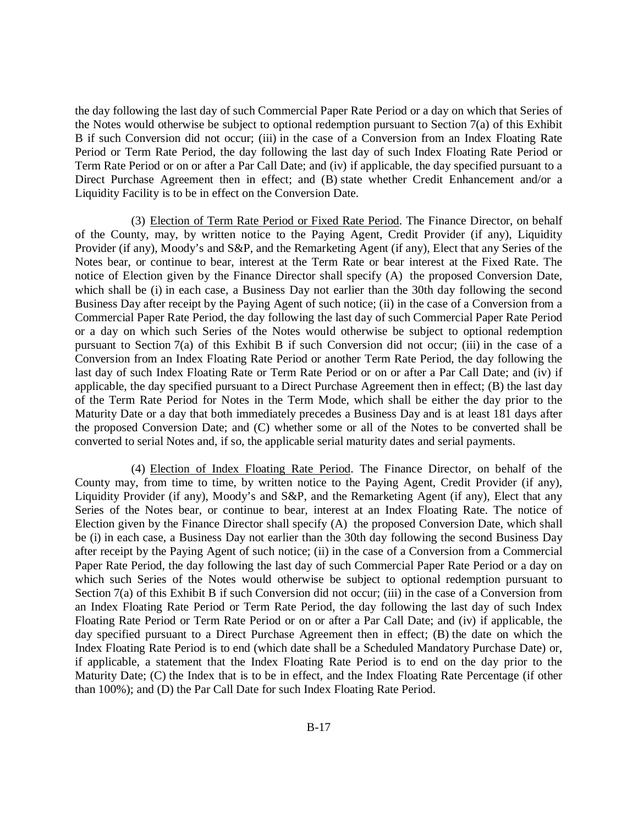the day following the last day of such Commercial Paper Rate Period or a day on which that Series of the Notes would otherwise be subject to optional redemption pursuant to Section 7(a) of this Exhibit B if such Conversion did not occur; (iii) in the case of a Conversion from an Index Floating Rate Period or Term Rate Period, the day following the last day of such Index Floating Rate Period or Term Rate Period or on or after a Par Call Date; and (iv) if applicable, the day specified pursuant to a Direct Purchase Agreement then in effect; and (B) state whether Credit Enhancement and/or a Liquidity Facility is to be in effect on the Conversion Date.

(3) Election of Term Rate Period or Fixed Rate Period. The Finance Director, on behalf of the County, may, by written notice to the Paying Agent, Credit Provider (if any), Liquidity Provider (if any), Moody's and S&P, and the Remarketing Agent (if any), Elect that any Series of the Notes bear, or continue to bear, interest at the Term Rate or bear interest at the Fixed Rate. The notice of Election given by the Finance Director shall specify (A) the proposed Conversion Date, which shall be (i) in each case, a Business Day not earlier than the 30th day following the second Business Day after receipt by the Paying Agent of such notice; (ii) in the case of a Conversion from a Commercial Paper Rate Period, the day following the last day of such Commercial Paper Rate Period or a day on which such Series of the Notes would otherwise be subject to optional redemption pursuant to Section 7(a) of this Exhibit B if such Conversion did not occur; (iii) in the case of a Conversion from an Index Floating Rate Period or another Term Rate Period, the day following the last day of such Index Floating Rate or Term Rate Period or on or after a Par Call Date; and (iv) if applicable, the day specified pursuant to a Direct Purchase Agreement then in effect; (B) the last day of the Term Rate Period for Notes in the Term Mode, which shall be either the day prior to the Maturity Date or a day that both immediately precedes a Business Day and is at least 181 days after the proposed Conversion Date; and (C) whether some or all of the Notes to be converted shall be converted to serial Notes and, if so, the applicable serial maturity dates and serial payments.

(4) Election of Index Floating Rate Period. The Finance Director, on behalf of the County may, from time to time, by written notice to the Paying Agent, Credit Provider (if any), Liquidity Provider (if any), Moody's and S&P, and the Remarketing Agent (if any), Elect that any Series of the Notes bear, or continue to bear, interest at an Index Floating Rate. The notice of Election given by the Finance Director shall specify (A) the proposed Conversion Date, which shall be (i) in each case, a Business Day not earlier than the 30th day following the second Business Day after receipt by the Paying Agent of such notice; (ii) in the case of a Conversion from a Commercial Paper Rate Period, the day following the last day of such Commercial Paper Rate Period or a day on which such Series of the Notes would otherwise be subject to optional redemption pursuant to Section 7(a) of this Exhibit B if such Conversion did not occur; (iii) in the case of a Conversion from an Index Floating Rate Period or Term Rate Period, the day following the last day of such Index Floating Rate Period or Term Rate Period or on or after a Par Call Date; and (iv) if applicable, the day specified pursuant to a Direct Purchase Agreement then in effect; (B) the date on which the Index Floating Rate Period is to end (which date shall be a Scheduled Mandatory Purchase Date) or, if applicable, a statement that the Index Floating Rate Period is to end on the day prior to the Maturity Date; (C) the Index that is to be in effect, and the Index Floating Rate Percentage (if other than 100%); and (D) the Par Call Date for such Index Floating Rate Period.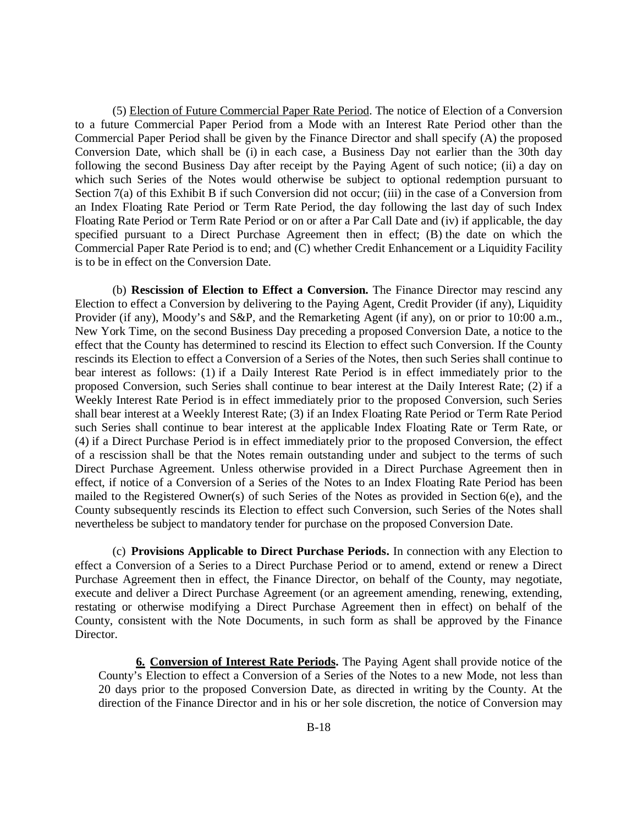(5) Election of Future Commercial Paper Rate Period. The notice of Election of a Conversion to a future Commercial Paper Period from a Mode with an Interest Rate Period other than the Commercial Paper Period shall be given by the Finance Director and shall specify (A) the proposed Conversion Date, which shall be (i) in each case, a Business Day not earlier than the 30th day following the second Business Day after receipt by the Paying Agent of such notice; (ii) a day on which such Series of the Notes would otherwise be subject to optional redemption pursuant to Section 7(a) of this Exhibit B if such Conversion did not occur; (iii) in the case of a Conversion from an Index Floating Rate Period or Term Rate Period, the day following the last day of such Index Floating Rate Period or Term Rate Period or on or after a Par Call Date and (iv) if applicable, the day specified pursuant to a Direct Purchase Agreement then in effect; (B) the date on which the Commercial Paper Rate Period is to end; and (C) whether Credit Enhancement or a Liquidity Facility is to be in effect on the Conversion Date.

(b) **Rescission of Election to Effect a Conversion.** The Finance Director may rescind any Election to effect a Conversion by delivering to the Paying Agent, Credit Provider (if any), Liquidity Provider (if any), Moody's and S&P, and the Remarketing Agent (if any), on or prior to 10:00 a.m., New York Time, on the second Business Day preceding a proposed Conversion Date, a notice to the effect that the County has determined to rescind its Election to effect such Conversion. If the County rescinds its Election to effect a Conversion of a Series of the Notes, then such Series shall continue to bear interest as follows: (1) if a Daily Interest Rate Period is in effect immediately prior to the proposed Conversion, such Series shall continue to bear interest at the Daily Interest Rate; (2) if a Weekly Interest Rate Period is in effect immediately prior to the proposed Conversion, such Series shall bear interest at a Weekly Interest Rate; (3) if an Index Floating Rate Period or Term Rate Period such Series shall continue to bear interest at the applicable Index Floating Rate or Term Rate, or (4) if a Direct Purchase Period is in effect immediately prior to the proposed Conversion, the effect of a rescission shall be that the Notes remain outstanding under and subject to the terms of such Direct Purchase Agreement. Unless otherwise provided in a Direct Purchase Agreement then in effect, if notice of a Conversion of a Series of the Notes to an Index Floating Rate Period has been mailed to the Registered Owner(s) of such Series of the Notes as provided in Section 6(e), and the County subsequently rescinds its Election to effect such Conversion, such Series of the Notes shall nevertheless be subject to mandatory tender for purchase on the proposed Conversion Date.

(c) **Provisions Applicable to Direct Purchase Periods.** In connection with any Election to effect a Conversion of a Series to a Direct Purchase Period or to amend, extend or renew a Direct Purchase Agreement then in effect, the Finance Director, on behalf of the County, may negotiate, execute and deliver a Direct Purchase Agreement (or an agreement amending, renewing, extending, restating or otherwise modifying a Direct Purchase Agreement then in effect) on behalf of the County, consistent with the Note Documents, in such form as shall be approved by the Finance Director.

**6. Conversion of Interest Rate Periods.** The Paying Agent shall provide notice of the County's Election to effect a Conversion of a Series of the Notes to a new Mode, not less than 20 days prior to the proposed Conversion Date, as directed in writing by the County. At the direction of the Finance Director and in his or her sole discretion, the notice of Conversion may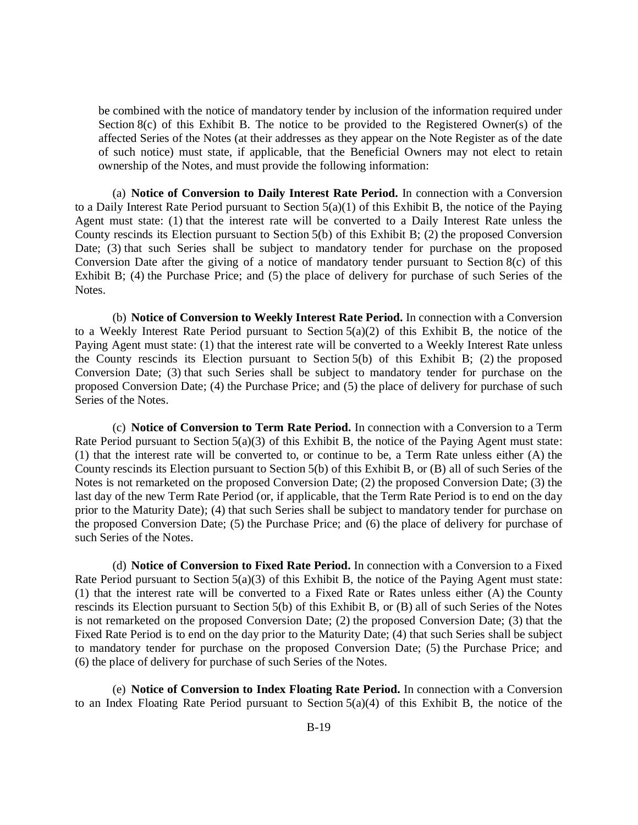be combined with the notice of mandatory tender by inclusion of the information required under Section 8(c) of this Exhibit B. The notice to be provided to the Registered Owner(s) of the affected Series of the Notes (at their addresses as they appear on the Note Register as of the date of such notice) must state, if applicable, that the Beneficial Owners may not elect to retain ownership of the Notes, and must provide the following information:

(a) **Notice of Conversion to Daily Interest Rate Period.** In connection with a Conversion to a Daily Interest Rate Period pursuant to Section 5(a)(1) of this Exhibit B, the notice of the Paying Agent must state: (1) that the interest rate will be converted to a Daily Interest Rate unless the County rescinds its Election pursuant to Section 5(b) of this Exhibit B; (2) the proposed Conversion Date; (3) that such Series shall be subject to mandatory tender for purchase on the proposed Conversion Date after the giving of a notice of mandatory tender pursuant to Section 8(c) of this Exhibit B; (4) the Purchase Price; and (5) the place of delivery for purchase of such Series of the Notes.

(b) **Notice of Conversion to Weekly Interest Rate Period.** In connection with a Conversion to a Weekly Interest Rate Period pursuant to Section 5(a)(2) of this Exhibit B, the notice of the Paying Agent must state: (1) that the interest rate will be converted to a Weekly Interest Rate unless the County rescinds its Election pursuant to Section 5(b) of this Exhibit B; (2) the proposed Conversion Date; (3) that such Series shall be subject to mandatory tender for purchase on the proposed Conversion Date; (4) the Purchase Price; and (5) the place of delivery for purchase of such Series of the Notes.

(c) **Notice of Conversion to Term Rate Period.** In connection with a Conversion to a Term Rate Period pursuant to Section 5(a)(3) of this Exhibit B, the notice of the Paying Agent must state: (1) that the interest rate will be converted to, or continue to be, a Term Rate unless either (A) the County rescinds its Election pursuant to Section 5(b) of this Exhibit B, or (B) all of such Series of the Notes is not remarketed on the proposed Conversion Date; (2) the proposed Conversion Date; (3) the last day of the new Term Rate Period (or, if applicable, that the Term Rate Period is to end on the day prior to the Maturity Date); (4) that such Series shall be subject to mandatory tender for purchase on the proposed Conversion Date; (5) the Purchase Price; and (6) the place of delivery for purchase of such Series of the Notes.

(d) **Notice of Conversion to Fixed Rate Period.** In connection with a Conversion to a Fixed Rate Period pursuant to Section 5(a)(3) of this Exhibit B, the notice of the Paying Agent must state: (1) that the interest rate will be converted to a Fixed Rate or Rates unless either (A) the County rescinds its Election pursuant to Section 5(b) of this Exhibit B, or (B) all of such Series of the Notes is not remarketed on the proposed Conversion Date; (2) the proposed Conversion Date; (3) that the Fixed Rate Period is to end on the day prior to the Maturity Date; (4) that such Series shall be subject to mandatory tender for purchase on the proposed Conversion Date; (5) the Purchase Price; and (6) the place of delivery for purchase of such Series of the Notes.

(e) **Notice of Conversion to Index Floating Rate Period.** In connection with a Conversion to an Index Floating Rate Period pursuant to Section  $5(a)(4)$  of this Exhibit B, the notice of the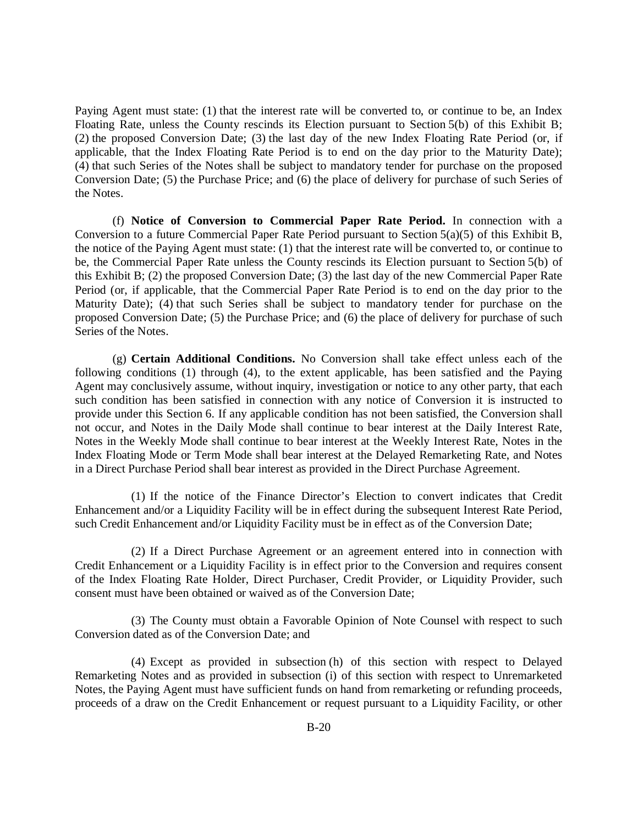Paying Agent must state: (1) that the interest rate will be converted to, or continue to be, an Index Floating Rate, unless the County rescinds its Election pursuant to Section 5(b) of this Exhibit B; (2) the proposed Conversion Date; (3) the last day of the new Index Floating Rate Period (or, if applicable, that the Index Floating Rate Period is to end on the day prior to the Maturity Date); (4) that such Series of the Notes shall be subject to mandatory tender for purchase on the proposed Conversion Date; (5) the Purchase Price; and (6) the place of delivery for purchase of such Series of the Notes.

(f) **Notice of Conversion to Commercial Paper Rate Period.** In connection with a Conversion to a future Commercial Paper Rate Period pursuant to Section 5(a)(5) of this Exhibit B, the notice of the Paying Agent must state: (1) that the interest rate will be converted to, or continue to be, the Commercial Paper Rate unless the County rescinds its Election pursuant to Section 5(b) of this Exhibit B; (2) the proposed Conversion Date; (3) the last day of the new Commercial Paper Rate Period (or, if applicable, that the Commercial Paper Rate Period is to end on the day prior to the Maturity Date); (4) that such Series shall be subject to mandatory tender for purchase on the proposed Conversion Date; (5) the Purchase Price; and (6) the place of delivery for purchase of such Series of the Notes.

(g) **Certain Additional Conditions.** No Conversion shall take effect unless each of the following conditions (1) through (4), to the extent applicable, has been satisfied and the Paying Agent may conclusively assume, without inquiry, investigation or notice to any other party, that each such condition has been satisfied in connection with any notice of Conversion it is instructed to provide under this Section 6. If any applicable condition has not been satisfied, the Conversion shall not occur, and Notes in the Daily Mode shall continue to bear interest at the Daily Interest Rate, Notes in the Weekly Mode shall continue to bear interest at the Weekly Interest Rate, Notes in the Index Floating Mode or Term Mode shall bear interest at the Delayed Remarketing Rate, and Notes in a Direct Purchase Period shall bear interest as provided in the Direct Purchase Agreement.

(1) If the notice of the Finance Director's Election to convert indicates that Credit Enhancement and/or a Liquidity Facility will be in effect during the subsequent Interest Rate Period, such Credit Enhancement and/or Liquidity Facility must be in effect as of the Conversion Date;

(2) If a Direct Purchase Agreement or an agreement entered into in connection with Credit Enhancement or a Liquidity Facility is in effect prior to the Conversion and requires consent of the Index Floating Rate Holder, Direct Purchaser, Credit Provider, or Liquidity Provider, such consent must have been obtained or waived as of the Conversion Date;

(3) The County must obtain a Favorable Opinion of Note Counsel with respect to such Conversion dated as of the Conversion Date; and

(4) Except as provided in subsection (h) of this section with respect to Delayed Remarketing Notes and as provided in subsection (i) of this section with respect to Unremarketed Notes, the Paying Agent must have sufficient funds on hand from remarketing or refunding proceeds, proceeds of a draw on the Credit Enhancement or request pursuant to a Liquidity Facility, or other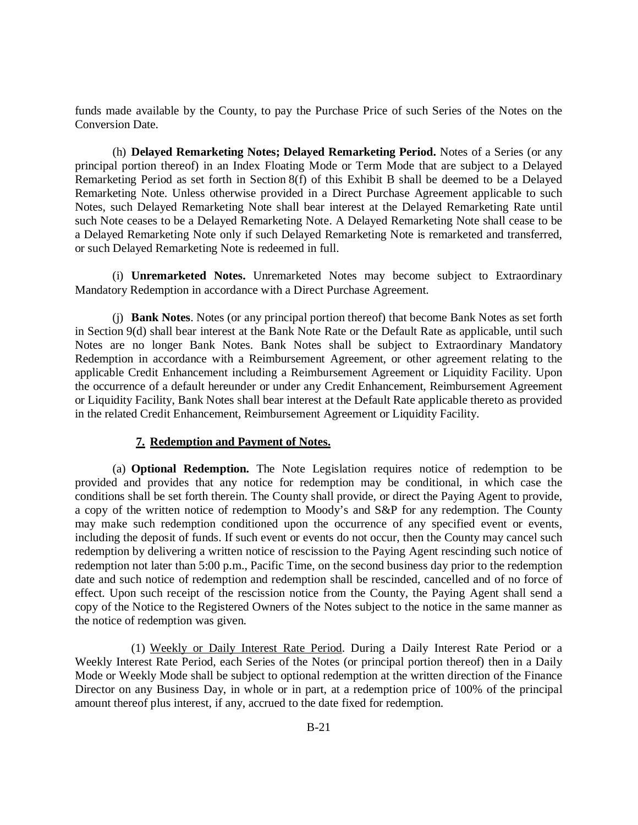funds made available by the County, to pay the Purchase Price of such Series of the Notes on the Conversion Date.

(h) **Delayed Remarketing Notes; Delayed Remarketing Period.** Notes of a Series (or any principal portion thereof) in an Index Floating Mode or Term Mode that are subject to a Delayed Remarketing Period as set forth in Section 8(f) of this Exhibit B shall be deemed to be a Delayed Remarketing Note. Unless otherwise provided in a Direct Purchase Agreement applicable to such Notes, such Delayed Remarketing Note shall bear interest at the Delayed Remarketing Rate until such Note ceases to be a Delayed Remarketing Note. A Delayed Remarketing Note shall cease to be a Delayed Remarketing Note only if such Delayed Remarketing Note is remarketed and transferred, or such Delayed Remarketing Note is redeemed in full.

(i) **Unremarketed Notes.** Unremarketed Notes may become subject to Extraordinary Mandatory Redemption in accordance with a Direct Purchase Agreement.

(j) **Bank Notes**. Notes (or any principal portion thereof) that become Bank Notes as set forth in Section 9(d) shall bear interest at the Bank Note Rate or the Default Rate as applicable, until such Notes are no longer Bank Notes. Bank Notes shall be subject to Extraordinary Mandatory Redemption in accordance with a Reimbursement Agreement, or other agreement relating to the applicable Credit Enhancement including a Reimbursement Agreement or Liquidity Facility. Upon the occurrence of a default hereunder or under any Credit Enhancement, Reimbursement Agreement or Liquidity Facility, Bank Notes shall bear interest at the Default Rate applicable thereto as provided in the related Credit Enhancement, Reimbursement Agreement or Liquidity Facility.

### **7. Redemption and Payment of Notes.**

(a) **Optional Redemption.** The Note Legislation requires notice of redemption to be provided and provides that any notice for redemption may be conditional, in which case the conditions shall be set forth therein. The County shall provide, or direct the Paying Agent to provide, a copy of the written notice of redemption to Moody's and S&P for any redemption. The County may make such redemption conditioned upon the occurrence of any specified event or events, including the deposit of funds. If such event or events do not occur, then the County may cancel such redemption by delivering a written notice of rescission to the Paying Agent rescinding such notice of redemption not later than 5:00 p.m., Pacific Time, on the second business day prior to the redemption date and such notice of redemption and redemption shall be rescinded, cancelled and of no force of effect. Upon such receipt of the rescission notice from the County, the Paying Agent shall send a copy of the Notice to the Registered Owners of the Notes subject to the notice in the same manner as the notice of redemption was given.

(1) Weekly or Daily Interest Rate Period. During a Daily Interest Rate Period or a Weekly Interest Rate Period, each Series of the Notes (or principal portion thereof) then in a Daily Mode or Weekly Mode shall be subject to optional redemption at the written direction of the Finance Director on any Business Day, in whole or in part, at a redemption price of 100% of the principal amount thereof plus interest, if any, accrued to the date fixed for redemption.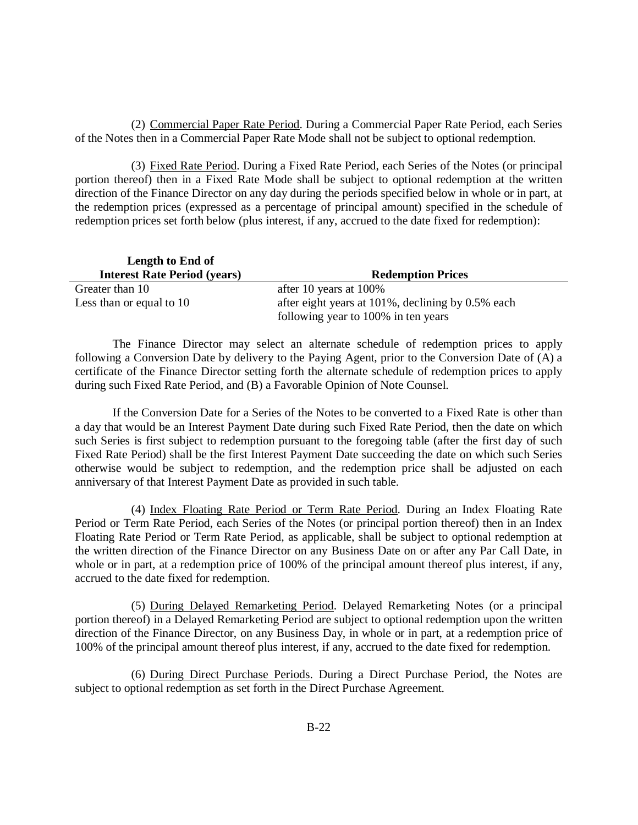(2) Commercial Paper Rate Period. During a Commercial Paper Rate Period, each Series of the Notes then in a Commercial Paper Rate Mode shall not be subject to optional redemption.

(3) Fixed Rate Period. During a Fixed Rate Period, each Series of the Notes (or principal portion thereof) then in a Fixed Rate Mode shall be subject to optional redemption at the written direction of the Finance Director on any day during the periods specified below in whole or in part, at the redemption prices (expressed as a percentage of principal amount) specified in the schedule of redemption prices set forth below (plus interest, if any, accrued to the date fixed for redemption):

| Length to End of                    |                                                       |
|-------------------------------------|-------------------------------------------------------|
| <b>Interest Rate Period (years)</b> | <b>Redemption Prices</b>                              |
| Greater than 10                     | after 10 years at $100\%$                             |
| Less than or equal to 10            | after eight years at $101\%$ , declining by 0.5% each |
|                                     | following year to 100% in ten years                   |

The Finance Director may select an alternate schedule of redemption prices to apply following a Conversion Date by delivery to the Paying Agent, prior to the Conversion Date of (A) a certificate of the Finance Director setting forth the alternate schedule of redemption prices to apply during such Fixed Rate Period, and (B) a Favorable Opinion of Note Counsel.

If the Conversion Date for a Series of the Notes to be converted to a Fixed Rate is other than a day that would be an Interest Payment Date during such Fixed Rate Period, then the date on which such Series is first subject to redemption pursuant to the foregoing table (after the first day of such Fixed Rate Period) shall be the first Interest Payment Date succeeding the date on which such Series otherwise would be subject to redemption, and the redemption price shall be adjusted on each anniversary of that Interest Payment Date as provided in such table.

(4) Index Floating Rate Period or Term Rate Period. During an Index Floating Rate Period or Term Rate Period, each Series of the Notes (or principal portion thereof) then in an Index Floating Rate Period or Term Rate Period, as applicable, shall be subject to optional redemption at the written direction of the Finance Director on any Business Date on or after any Par Call Date, in whole or in part, at a redemption price of 100% of the principal amount thereof plus interest, if any, accrued to the date fixed for redemption.

(5) During Delayed Remarketing Period. Delayed Remarketing Notes (or a principal portion thereof) in a Delayed Remarketing Period are subject to optional redemption upon the written direction of the Finance Director, on any Business Day, in whole or in part, at a redemption price of 100% of the principal amount thereof plus interest, if any, accrued to the date fixed for redemption.

(6) During Direct Purchase Periods. During a Direct Purchase Period, the Notes are subject to optional redemption as set forth in the Direct Purchase Agreement.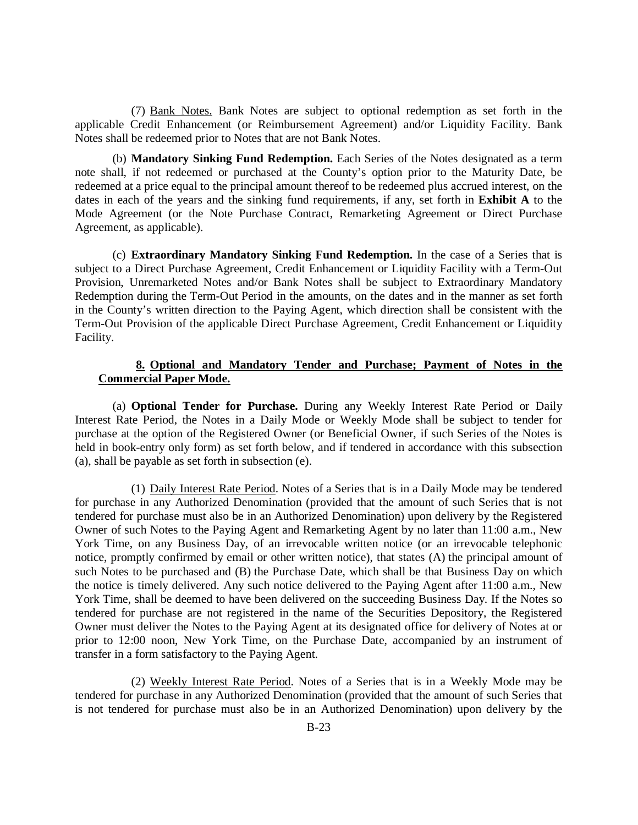(7) Bank Notes. Bank Notes are subject to optional redemption as set forth in the applicable Credit Enhancement (or Reimbursement Agreement) and/or Liquidity Facility. Bank Notes shall be redeemed prior to Notes that are not Bank Notes.

(b) **Mandatory Sinking Fund Redemption.** Each Series of the Notes designated as a term note shall, if not redeemed or purchased at the County's option prior to the Maturity Date, be redeemed at a price equal to the principal amount thereof to be redeemed plus accrued interest, on the dates in each of the years and the sinking fund requirements, if any, set forth in **Exhibit A** to the Mode Agreement (or the Note Purchase Contract, Remarketing Agreement or Direct Purchase Agreement, as applicable).

(c) **Extraordinary Mandatory Sinking Fund Redemption.** In the case of a Series that is subject to a Direct Purchase Agreement, Credit Enhancement or Liquidity Facility with a Term-Out Provision, Unremarketed Notes and/or Bank Notes shall be subject to Extraordinary Mandatory Redemption during the Term-Out Period in the amounts, on the dates and in the manner as set forth in the County's written direction to the Paying Agent, which direction shall be consistent with the Term-Out Provision of the applicable Direct Purchase Agreement, Credit Enhancement or Liquidity Facility.

# **8. Optional and Mandatory Tender and Purchase; Payment of Notes in the Commercial Paper Mode.**

(a) **Optional Tender for Purchase.** During any Weekly Interest Rate Period or Daily Interest Rate Period, the Notes in a Daily Mode or Weekly Mode shall be subject to tender for purchase at the option of the Registered Owner (or Beneficial Owner, if such Series of the Notes is held in book-entry only form) as set forth below, and if tendered in accordance with this subsection (a), shall be payable as set forth in subsection (e).

(1) Daily Interest Rate Period. Notes of a Series that is in a Daily Mode may be tendered for purchase in any Authorized Denomination (provided that the amount of such Series that is not tendered for purchase must also be in an Authorized Denomination) upon delivery by the Registered Owner of such Notes to the Paying Agent and Remarketing Agent by no later than 11:00 a.m., New York Time, on any Business Day, of an irrevocable written notice (or an irrevocable telephonic notice, promptly confirmed by email or other written notice), that states (A) the principal amount of such Notes to be purchased and (B) the Purchase Date, which shall be that Business Day on which the notice is timely delivered. Any such notice delivered to the Paying Agent after 11:00 a.m., New York Time, shall be deemed to have been delivered on the succeeding Business Day. If the Notes so tendered for purchase are not registered in the name of the Securities Depository, the Registered Owner must deliver the Notes to the Paying Agent at its designated office for delivery of Notes at or prior to 12:00 noon, New York Time, on the Purchase Date, accompanied by an instrument of transfer in a form satisfactory to the Paying Agent.

(2) Weekly Interest Rate Period. Notes of a Series that is in a Weekly Mode may be tendered for purchase in any Authorized Denomination (provided that the amount of such Series that is not tendered for purchase must also be in an Authorized Denomination) upon delivery by the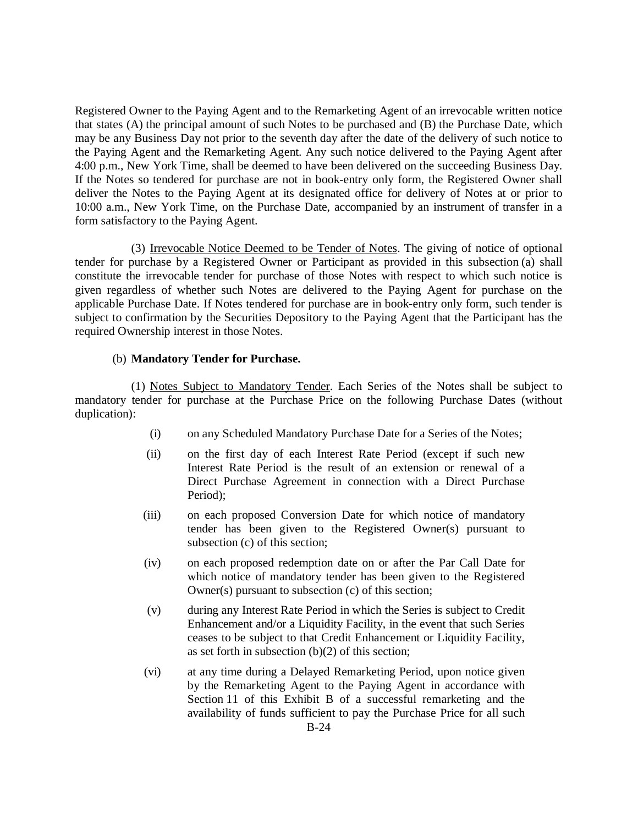Registered Owner to the Paying Agent and to the Remarketing Agent of an irrevocable written notice that states (A) the principal amount of such Notes to be purchased and (B) the Purchase Date, which may be any Business Day not prior to the seventh day after the date of the delivery of such notice to the Paying Agent and the Remarketing Agent. Any such notice delivered to the Paying Agent after 4:00 p.m., New York Time, shall be deemed to have been delivered on the succeeding Business Day. If the Notes so tendered for purchase are not in book-entry only form, the Registered Owner shall deliver the Notes to the Paying Agent at its designated office for delivery of Notes at or prior to 10:00 a.m., New York Time, on the Purchase Date, accompanied by an instrument of transfer in a form satisfactory to the Paying Agent.

(3) Irrevocable Notice Deemed to be Tender of Notes. The giving of notice of optional tender for purchase by a Registered Owner or Participant as provided in this subsection (a) shall constitute the irrevocable tender for purchase of those Notes with respect to which such notice is given regardless of whether such Notes are delivered to the Paying Agent for purchase on the applicable Purchase Date. If Notes tendered for purchase are in book-entry only form, such tender is subject to confirmation by the Securities Depository to the Paying Agent that the Participant has the required Ownership interest in those Notes.

## (b) **Mandatory Tender for Purchase.**

(1) Notes Subject to Mandatory Tender. Each Series of the Notes shall be subject to mandatory tender for purchase at the Purchase Price on the following Purchase Dates (without duplication):

- (i) on any Scheduled Mandatory Purchase Date for a Series of the Notes;
- (ii) on the first day of each Interest Rate Period (except if such new Interest Rate Period is the result of an extension or renewal of a Direct Purchase Agreement in connection with a Direct Purchase Period);
- (iii) on each proposed Conversion Date for which notice of mandatory tender has been given to the Registered Owner(s) pursuant to subsection (c) of this section;
- (iv) on each proposed redemption date on or after the Par Call Date for which notice of mandatory tender has been given to the Registered Owner(s) pursuant to subsection (c) of this section;
- (v) during any Interest Rate Period in which the Series is subject to Credit Enhancement and/or a Liquidity Facility, in the event that such Series ceases to be subject to that Credit Enhancement or Liquidity Facility, as set forth in subsection (b)(2) of this section;
- (vi) at any time during a Delayed Remarketing Period, upon notice given by the Remarketing Agent to the Paying Agent in accordance with Section 11 of this Exhibit B of a successful remarketing and the availability of funds sufficient to pay the Purchase Price for all such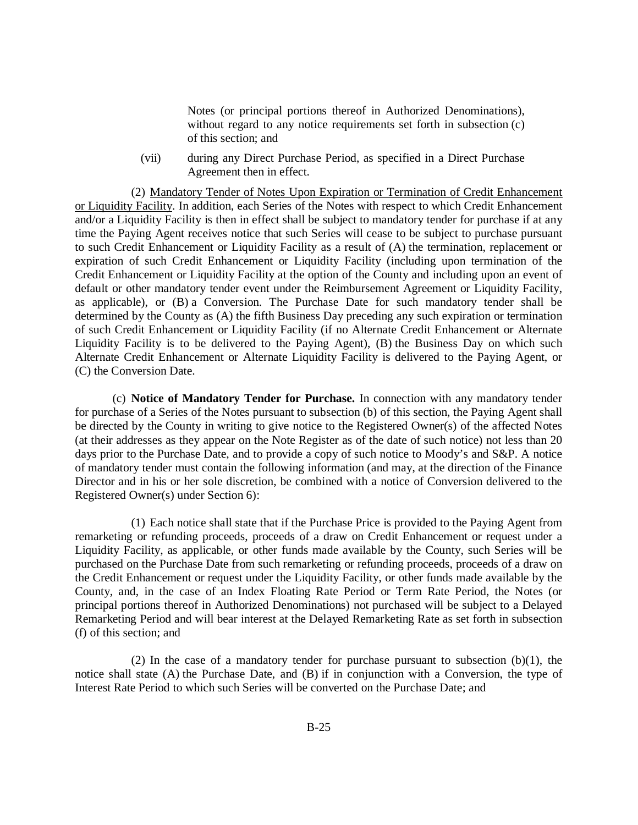Notes (or principal portions thereof in Authorized Denominations), without regard to any notice requirements set forth in subsection (c) of this section; and

(vii) during any Direct Purchase Period, as specified in a Direct Purchase Agreement then in effect.

(2) Mandatory Tender of Notes Upon Expiration or Termination of Credit Enhancement or Liquidity Facility. In addition, each Series of the Notes with respect to which Credit Enhancement and/or a Liquidity Facility is then in effect shall be subject to mandatory tender for purchase if at any time the Paying Agent receives notice that such Series will cease to be subject to purchase pursuant to such Credit Enhancement or Liquidity Facility as a result of (A) the termination, replacement or expiration of such Credit Enhancement or Liquidity Facility (including upon termination of the Credit Enhancement or Liquidity Facility at the option of the County and including upon an event of default or other mandatory tender event under the Reimbursement Agreement or Liquidity Facility, as applicable), or (B) a Conversion. The Purchase Date for such mandatory tender shall be determined by the County as (A) the fifth Business Day preceding any such expiration or termination of such Credit Enhancement or Liquidity Facility (if no Alternate Credit Enhancement or Alternate Liquidity Facility is to be delivered to the Paying Agent), (B) the Business Day on which such Alternate Credit Enhancement or Alternate Liquidity Facility is delivered to the Paying Agent, or (C) the Conversion Date.

(c) **Notice of Mandatory Tender for Purchase.** In connection with any mandatory tender for purchase of a Series of the Notes pursuant to subsection (b) of this section, the Paying Agent shall be directed by the County in writing to give notice to the Registered Owner(s) of the affected Notes (at their addresses as they appear on the Note Register as of the date of such notice) not less than 20 days prior to the Purchase Date, and to provide a copy of such notice to Moody's and S&P. A notice of mandatory tender must contain the following information (and may, at the direction of the Finance Director and in his or her sole discretion, be combined with a notice of Conversion delivered to the Registered Owner(s) under Section 6):

(1) Each notice shall state that if the Purchase Price is provided to the Paying Agent from remarketing or refunding proceeds, proceeds of a draw on Credit Enhancement or request under a Liquidity Facility, as applicable, or other funds made available by the County, such Series will be purchased on the Purchase Date from such remarketing or refunding proceeds, proceeds of a draw on the Credit Enhancement or request under the Liquidity Facility, or other funds made available by the County, and, in the case of an Index Floating Rate Period or Term Rate Period, the Notes (or principal portions thereof in Authorized Denominations) not purchased will be subject to a Delayed Remarketing Period and will bear interest at the Delayed Remarketing Rate as set forth in subsection (f) of this section; and

(2) In the case of a mandatory tender for purchase pursuant to subsection (b)(1), the notice shall state (A) the Purchase Date, and (B) if in conjunction with a Conversion, the type of Interest Rate Period to which such Series will be converted on the Purchase Date; and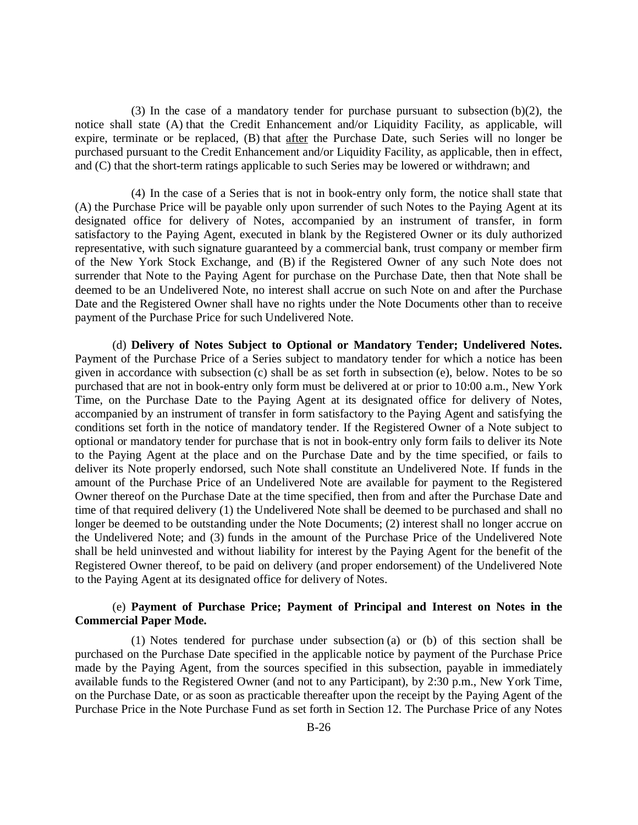(3) In the case of a mandatory tender for purchase pursuant to subsection (b)(2), the notice shall state (A) that the Credit Enhancement and/or Liquidity Facility, as applicable, will expire, terminate or be replaced, (B) that after the Purchase Date, such Series will no longer be purchased pursuant to the Credit Enhancement and/or Liquidity Facility, as applicable, then in effect, and (C) that the short-term ratings applicable to such Series may be lowered or withdrawn; and

(4) In the case of a Series that is not in book-entry only form, the notice shall state that (A) the Purchase Price will be payable only upon surrender of such Notes to the Paying Agent at its designated office for delivery of Notes, accompanied by an instrument of transfer, in form satisfactory to the Paying Agent, executed in blank by the Registered Owner or its duly authorized representative, with such signature guaranteed by a commercial bank, trust company or member firm of the New York Stock Exchange, and (B) if the Registered Owner of any such Note does not surrender that Note to the Paying Agent for purchase on the Purchase Date, then that Note shall be deemed to be an Undelivered Note, no interest shall accrue on such Note on and after the Purchase Date and the Registered Owner shall have no rights under the Note Documents other than to receive payment of the Purchase Price for such Undelivered Note.

(d) **Delivery of Notes Subject to Optional or Mandatory Tender; Undelivered Notes.** Payment of the Purchase Price of a Series subject to mandatory tender for which a notice has been given in accordance with subsection (c) shall be as set forth in subsection (e), below. Notes to be so purchased that are not in book-entry only form must be delivered at or prior to 10:00 a.m., New York Time, on the Purchase Date to the Paying Agent at its designated office for delivery of Notes, accompanied by an instrument of transfer in form satisfactory to the Paying Agent and satisfying the conditions set forth in the notice of mandatory tender. If the Registered Owner of a Note subject to optional or mandatory tender for purchase that is not in book-entry only form fails to deliver its Note to the Paying Agent at the place and on the Purchase Date and by the time specified, or fails to deliver its Note properly endorsed, such Note shall constitute an Undelivered Note. If funds in the amount of the Purchase Price of an Undelivered Note are available for payment to the Registered Owner thereof on the Purchase Date at the time specified, then from and after the Purchase Date and time of that required delivery (1) the Undelivered Note shall be deemed to be purchased and shall no longer be deemed to be outstanding under the Note Documents; (2) interest shall no longer accrue on the Undelivered Note; and (3) funds in the amount of the Purchase Price of the Undelivered Note shall be held uninvested and without liability for interest by the Paying Agent for the benefit of the Registered Owner thereof, to be paid on delivery (and proper endorsement) of the Undelivered Note to the Paying Agent at its designated office for delivery of Notes.

# (e) **Payment of Purchase Price; Payment of Principal and Interest on Notes in the Commercial Paper Mode.**

(1) Notes tendered for purchase under subsection (a) or (b) of this section shall be purchased on the Purchase Date specified in the applicable notice by payment of the Purchase Price made by the Paying Agent, from the sources specified in this subsection, payable in immediately available funds to the Registered Owner (and not to any Participant), by 2:30 p.m., New York Time, on the Purchase Date, or as soon as practicable thereafter upon the receipt by the Paying Agent of the Purchase Price in the Note Purchase Fund as set forth in Section 12. The Purchase Price of any Notes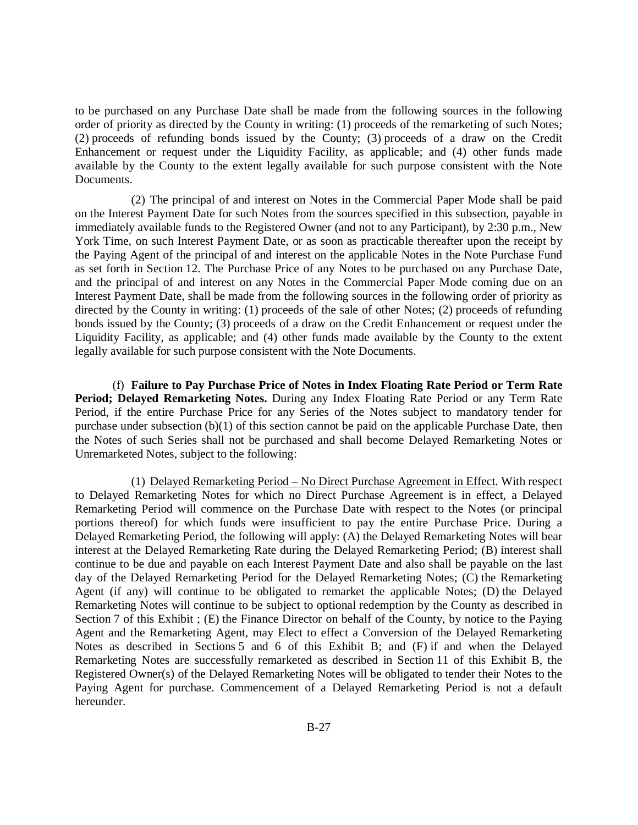to be purchased on any Purchase Date shall be made from the following sources in the following order of priority as directed by the County in writing: (1) proceeds of the remarketing of such Notes; (2) proceeds of refunding bonds issued by the County; (3) proceeds of a draw on the Credit Enhancement or request under the Liquidity Facility, as applicable; and (4) other funds made available by the County to the extent legally available for such purpose consistent with the Note Documents.

(2) The principal of and interest on Notes in the Commercial Paper Mode shall be paid on the Interest Payment Date for such Notes from the sources specified in this subsection, payable in immediately available funds to the Registered Owner (and not to any Participant), by 2:30 p.m., New York Time, on such Interest Payment Date, or as soon as practicable thereafter upon the receipt by the Paying Agent of the principal of and interest on the applicable Notes in the Note Purchase Fund as set forth in Section 12. The Purchase Price of any Notes to be purchased on any Purchase Date, and the principal of and interest on any Notes in the Commercial Paper Mode coming due on an Interest Payment Date, shall be made from the following sources in the following order of priority as directed by the County in writing: (1) proceeds of the sale of other Notes; (2) proceeds of refunding bonds issued by the County; (3) proceeds of a draw on the Credit Enhancement or request under the Liquidity Facility, as applicable; and (4) other funds made available by the County to the extent legally available for such purpose consistent with the Note Documents.

(f) **Failure to Pay Purchase Price of Notes in Index Floating Rate Period or Term Rate Period; Delayed Remarketing Notes.** During any Index Floating Rate Period or any Term Rate Period, if the entire Purchase Price for any Series of the Notes subject to mandatory tender for purchase under subsection (b)(1) of this section cannot be paid on the applicable Purchase Date, then the Notes of such Series shall not be purchased and shall become Delayed Remarketing Notes or Unremarketed Notes, subject to the following:

(1) Delayed Remarketing Period – No Direct Purchase Agreement in Effect. With respect to Delayed Remarketing Notes for which no Direct Purchase Agreement is in effect, a Delayed Remarketing Period will commence on the Purchase Date with respect to the Notes (or principal portions thereof) for which funds were insufficient to pay the entire Purchase Price. During a Delayed Remarketing Period, the following will apply: (A) the Delayed Remarketing Notes will bear interest at the Delayed Remarketing Rate during the Delayed Remarketing Period; (B) interest shall continue to be due and payable on each Interest Payment Date and also shall be payable on the last day of the Delayed Remarketing Period for the Delayed Remarketing Notes; (C) the Remarketing Agent (if any) will continue to be obligated to remarket the applicable Notes; (D) the Delayed Remarketing Notes will continue to be subject to optional redemption by the County as described in Section 7 of this Exhibit ; (E) the Finance Director on behalf of the County, by notice to the Paying Agent and the Remarketing Agent, may Elect to effect a Conversion of the Delayed Remarketing Notes as described in Sections 5 and 6 of this Exhibit B; and (F) if and when the Delayed Remarketing Notes are successfully remarketed as described in Section 11 of this Exhibit B, the Registered Owner(s) of the Delayed Remarketing Notes will be obligated to tender their Notes to the Paying Agent for purchase. Commencement of a Delayed Remarketing Period is not a default hereunder.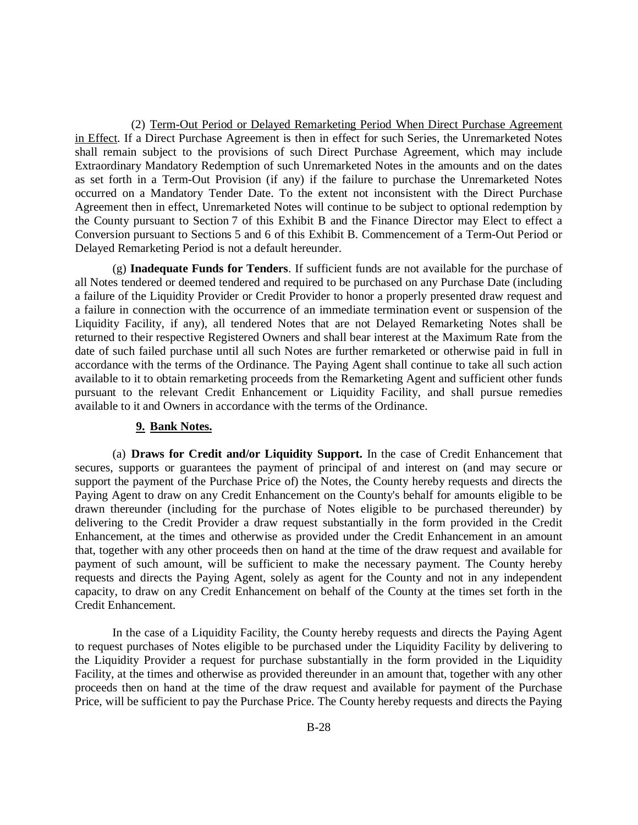(2) Term-Out Period or Delayed Remarketing Period When Direct Purchase Agreement in Effect. If a Direct Purchase Agreement is then in effect for such Series, the Unremarketed Notes shall remain subject to the provisions of such Direct Purchase Agreement, which may include Extraordinary Mandatory Redemption of such Unremarketed Notes in the amounts and on the dates as set forth in a Term-Out Provision (if any) if the failure to purchase the Unremarketed Notes occurred on a Mandatory Tender Date. To the extent not inconsistent with the Direct Purchase Agreement then in effect, Unremarketed Notes will continue to be subject to optional redemption by the County pursuant to Section 7 of this Exhibit B and the Finance Director may Elect to effect a Conversion pursuant to Sections 5 and 6 of this Exhibit B. Commencement of a Term-Out Period or Delayed Remarketing Period is not a default hereunder.

(g) **Inadequate Funds for Tenders**. If sufficient funds are not available for the purchase of all Notes tendered or deemed tendered and required to be purchased on any Purchase Date (including a failure of the Liquidity Provider or Credit Provider to honor a properly presented draw request and a failure in connection with the occurrence of an immediate termination event or suspension of the Liquidity Facility, if any), all tendered Notes that are not Delayed Remarketing Notes shall be returned to their respective Registered Owners and shall bear interest at the Maximum Rate from the date of such failed purchase until all such Notes are further remarketed or otherwise paid in full in accordance with the terms of the Ordinance. The Paying Agent shall continue to take all such action available to it to obtain remarketing proceeds from the Remarketing Agent and sufficient other funds pursuant to the relevant Credit Enhancement or Liquidity Facility, and shall pursue remedies available to it and Owners in accordance with the terms of the Ordinance.

#### **9. Bank Notes.**

(a) **Draws for Credit and/or Liquidity Support.** In the case of Credit Enhancement that secures, supports or guarantees the payment of principal of and interest on (and may secure or support the payment of the Purchase Price of) the Notes, the County hereby requests and directs the Paying Agent to draw on any Credit Enhancement on the County's behalf for amounts eligible to be drawn thereunder (including for the purchase of Notes eligible to be purchased thereunder) by delivering to the Credit Provider a draw request substantially in the form provided in the Credit Enhancement, at the times and otherwise as provided under the Credit Enhancement in an amount that, together with any other proceeds then on hand at the time of the draw request and available for payment of such amount, will be sufficient to make the necessary payment. The County hereby requests and directs the Paying Agent, solely as agent for the County and not in any independent capacity, to draw on any Credit Enhancement on behalf of the County at the times set forth in the Credit Enhancement.

In the case of a Liquidity Facility, the County hereby requests and directs the Paying Agent to request purchases of Notes eligible to be purchased under the Liquidity Facility by delivering to the Liquidity Provider a request for purchase substantially in the form provided in the Liquidity Facility, at the times and otherwise as provided thereunder in an amount that, together with any other proceeds then on hand at the time of the draw request and available for payment of the Purchase Price, will be sufficient to pay the Purchase Price. The County hereby requests and directs the Paying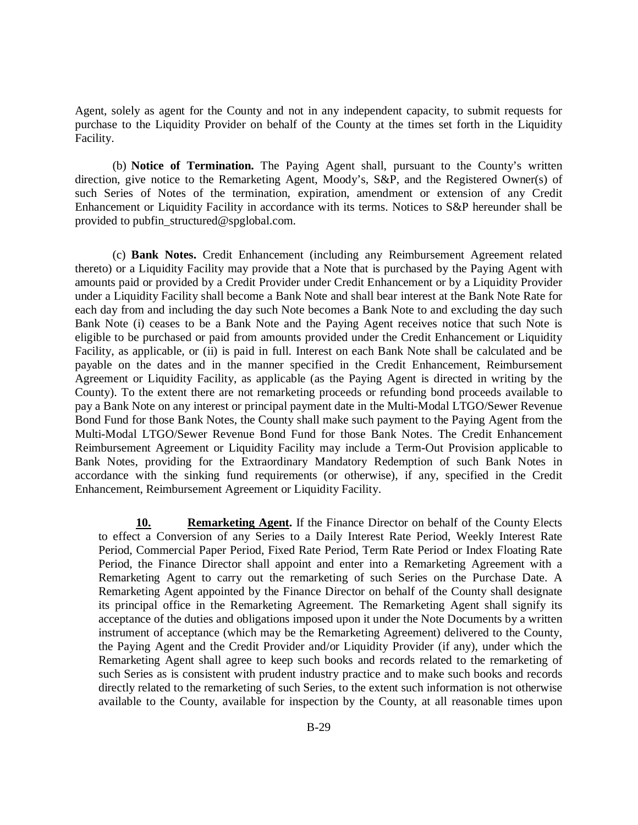Agent, solely as agent for the County and not in any independent capacity, to submit requests for purchase to the Liquidity Provider on behalf of the County at the times set forth in the Liquidity Facility.

(b) **Notice of Termination.** The Paying Agent shall, pursuant to the County's written direction, give notice to the Remarketing Agent, Moody's, S&P, and the Registered Owner(s) of such Series of Notes of the termination, expiration, amendment or extension of any Credit Enhancement or Liquidity Facility in accordance with its terms. Notices to S&P hereunder shall be provided to [pubfin\\_structured@spglobal.com.](mailto:pubfin_structured@standardandpoors.com)

(c) **Bank Notes.** Credit Enhancement (including any Reimbursement Agreement related thereto) or a Liquidity Facility may provide that a Note that is purchased by the Paying Agent with amounts paid or provided by a Credit Provider under Credit Enhancement or by a Liquidity Provider under a Liquidity Facility shall become a Bank Note and shall bear interest at the Bank Note Rate for each day from and including the day such Note becomes a Bank Note to and excluding the day such Bank Note (i) ceases to be a Bank Note and the Paying Agent receives notice that such Note is eligible to be purchased or paid from amounts provided under the Credit Enhancement or Liquidity Facility, as applicable, or (ii) is paid in full. Interest on each Bank Note shall be calculated and be payable on the dates and in the manner specified in the Credit Enhancement, Reimbursement Agreement or Liquidity Facility, as applicable (as the Paying Agent is directed in writing by the County). To the extent there are not remarketing proceeds or refunding bond proceeds available to pay a Bank Note on any interest or principal payment date in the Multi-Modal LTGO/Sewer Revenue Bond Fund for those Bank Notes, the County shall make such payment to the Paying Agent from the Multi-Modal LTGO/Sewer Revenue Bond Fund for those Bank Notes. The Credit Enhancement Reimbursement Agreement or Liquidity Facility may include a Term-Out Provision applicable to Bank Notes, providing for the Extraordinary Mandatory Redemption of such Bank Notes in accordance with the sinking fund requirements (or otherwise), if any, specified in the Credit Enhancement, Reimbursement Agreement or Liquidity Facility.

**10. Remarketing Agent.** If the Finance Director on behalf of the County Elects to effect a Conversion of any Series to a Daily Interest Rate Period, Weekly Interest Rate Period, Commercial Paper Period, Fixed Rate Period, Term Rate Period or Index Floating Rate Period, the Finance Director shall appoint and enter into a Remarketing Agreement with a Remarketing Agent to carry out the remarketing of such Series on the Purchase Date. A Remarketing Agent appointed by the Finance Director on behalf of the County shall designate its principal office in the Remarketing Agreement. The Remarketing Agent shall signify its acceptance of the duties and obligations imposed upon it under the Note Documents by a written instrument of acceptance (which may be the Remarketing Agreement) delivered to the County, the Paying Agent and the Credit Provider and/or Liquidity Provider (if any), under which the Remarketing Agent shall agree to keep such books and records related to the remarketing of such Series as is consistent with prudent industry practice and to make such books and records directly related to the remarketing of such Series, to the extent such information is not otherwise available to the County, available for inspection by the County, at all reasonable times upon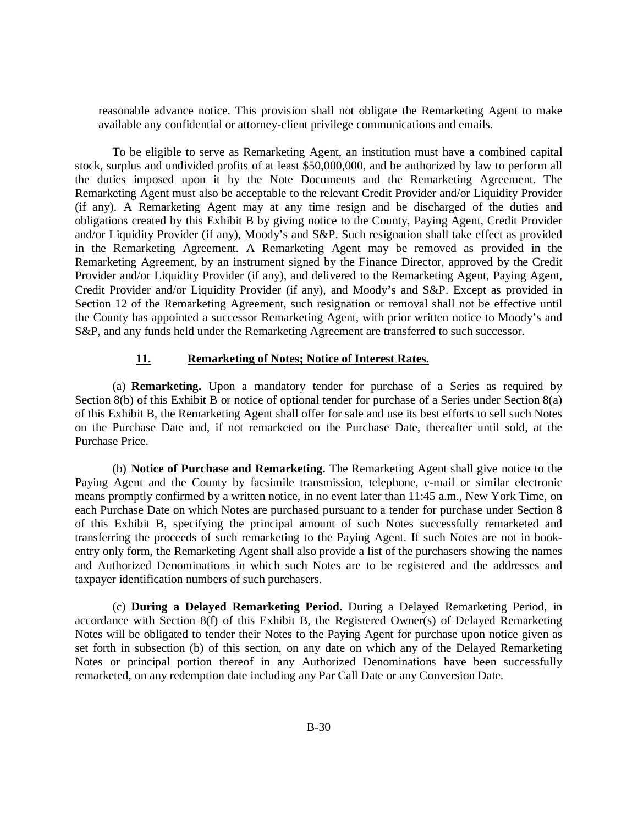reasonable advance notice. This provision shall not obligate the Remarketing Agent to make available any confidential or attorney-client privilege communications and emails.

To be eligible to serve as Remarketing Agent, an institution must have a combined capital stock, surplus and undivided profits of at least \$50,000,000, and be authorized by law to perform all the duties imposed upon it by the Note Documents and the Remarketing Agreement. The Remarketing Agent must also be acceptable to the relevant Credit Provider and/or Liquidity Provider (if any). A Remarketing Agent may at any time resign and be discharged of the duties and obligations created by this Exhibit B by giving notice to the County, Paying Agent, Credit Provider and/or Liquidity Provider (if any), Moody's and S&P. Such resignation shall take effect as provided in the Remarketing Agreement. A Remarketing Agent may be removed as provided in the Remarketing Agreement, by an instrument signed by the Finance Director, approved by the Credit Provider and/or Liquidity Provider (if any), and delivered to the Remarketing Agent, Paying Agent, Credit Provider and/or Liquidity Provider (if any), and Moody's and S&P. Except as provided in Section 12 of the Remarketing Agreement, such resignation or removal shall not be effective until the County has appointed a successor Remarketing Agent, with prior written notice to Moody's and S&P, and any funds held under the Remarketing Agreement are transferred to such successor.

#### **11. Remarketing of Notes; Notice of Interest Rates.**

(a) **Remarketing.** Upon a mandatory tender for purchase of a Series as required by Section 8(b) of this Exhibit B or notice of optional tender for purchase of a Series under Section 8(a) of this Exhibit B, the Remarketing Agent shall offer for sale and use its best efforts to sell such Notes on the Purchase Date and, if not remarketed on the Purchase Date, thereafter until sold, at the Purchase Price.

(b) **Notice of Purchase and Remarketing.** The Remarketing Agent shall give notice to the Paying Agent and the County by facsimile transmission, telephone, e-mail or similar electronic means promptly confirmed by a written notice, in no event later than 11:45 a.m., New York Time, on each Purchase Date on which Notes are purchased pursuant to a tender for purchase under Section 8 of this Exhibit B, specifying the principal amount of such Notes successfully remarketed and transferring the proceeds of such remarketing to the Paying Agent. If such Notes are not in bookentry only form, the Remarketing Agent shall also provide a list of the purchasers showing the names and Authorized Denominations in which such Notes are to be registered and the addresses and taxpayer identification numbers of such purchasers.

(c) **During a Delayed Remarketing Period.** During a Delayed Remarketing Period, in accordance with Section 8(f) of this Exhibit B, the Registered Owner(s) of Delayed Remarketing Notes will be obligated to tender their Notes to the Paying Agent for purchase upon notice given as set forth in subsection (b) of this section, on any date on which any of the Delayed Remarketing Notes or principal portion thereof in any Authorized Denominations have been successfully remarketed, on any redemption date including any Par Call Date or any Conversion Date.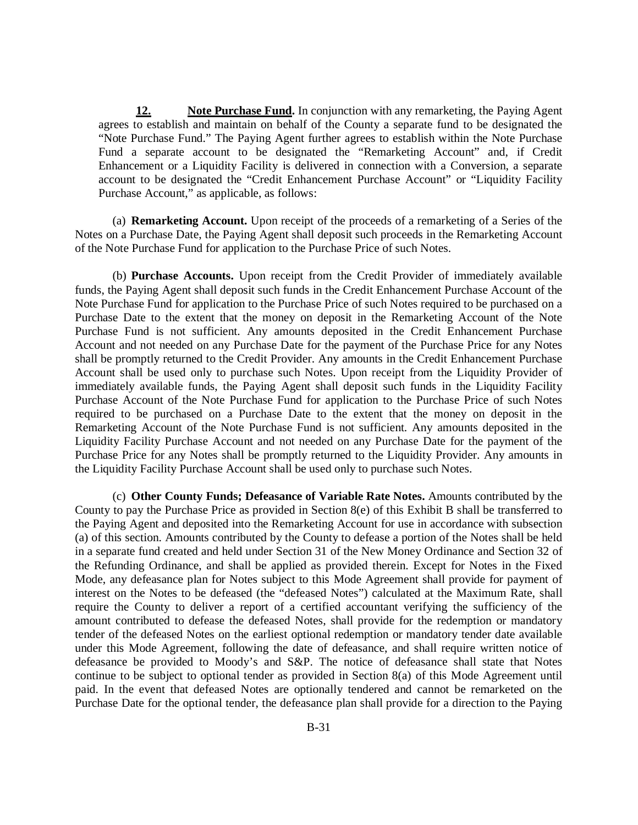**12. Note Purchase Fund.** In conjunction with any remarketing, the Paying Agent agrees to establish and maintain on behalf of the County a separate fund to be designated the "Note Purchase Fund." The Paying Agent further agrees to establish within the Note Purchase Fund a separate account to be designated the "Remarketing Account" and, if Credit Enhancement or a Liquidity Facility is delivered in connection with a Conversion, a separate account to be designated the "Credit Enhancement Purchase Account" or "Liquidity Facility Purchase Account," as applicable, as follows:

(a) **Remarketing Account.** Upon receipt of the proceeds of a remarketing of a Series of the Notes on a Purchase Date, the Paying Agent shall deposit such proceeds in the Remarketing Account of the Note Purchase Fund for application to the Purchase Price of such Notes.

(b) **Purchase Accounts.** Upon receipt from the Credit Provider of immediately available funds, the Paying Agent shall deposit such funds in the Credit Enhancement Purchase Account of the Note Purchase Fund for application to the Purchase Price of such Notes required to be purchased on a Purchase Date to the extent that the money on deposit in the Remarketing Account of the Note Purchase Fund is not sufficient. Any amounts deposited in the Credit Enhancement Purchase Account and not needed on any Purchase Date for the payment of the Purchase Price for any Notes shall be promptly returned to the Credit Provider. Any amounts in the Credit Enhancement Purchase Account shall be used only to purchase such Notes. Upon receipt from the Liquidity Provider of immediately available funds, the Paying Agent shall deposit such funds in the Liquidity Facility Purchase Account of the Note Purchase Fund for application to the Purchase Price of such Notes required to be purchased on a Purchase Date to the extent that the money on deposit in the Remarketing Account of the Note Purchase Fund is not sufficient. Any amounts deposited in the Liquidity Facility Purchase Account and not needed on any Purchase Date for the payment of the Purchase Price for any Notes shall be promptly returned to the Liquidity Provider. Any amounts in the Liquidity Facility Purchase Account shall be used only to purchase such Notes.

(c) **Other County Funds; Defeasance of Variable Rate Notes.** Amounts contributed by the County to pay the Purchase Price as provided in Section 8(e) of this Exhibit B shall be transferred to the Paying Agent and deposited into the Remarketing Account for use in accordance with subsection (a) of this section. Amounts contributed by the County to defease a portion of the Notes shall be held in a separate fund created and held under Section 31 of the New Money Ordinance and Section 32 of the Refunding Ordinance, and shall be applied as provided therein. Except for Notes in the Fixed Mode, any defeasance plan for Notes subject to this Mode Agreement shall provide for payment of interest on the Notes to be defeased (the "defeased Notes") calculated at the Maximum Rate, shall require the County to deliver a report of a certified accountant verifying the sufficiency of the amount contributed to defease the defeased Notes, shall provide for the redemption or mandatory tender of the defeased Notes on the earliest optional redemption or mandatory tender date available under this Mode Agreement, following the date of defeasance, and shall require written notice of defeasance be provided to Moody's and S&P. The notice of defeasance shall state that Notes continue to be subject to optional tender as provided in Section 8(a) of this Mode Agreement until paid. In the event that defeased Notes are optionally tendered and cannot be remarketed on the Purchase Date for the optional tender, the defeasance plan shall provide for a direction to the Paying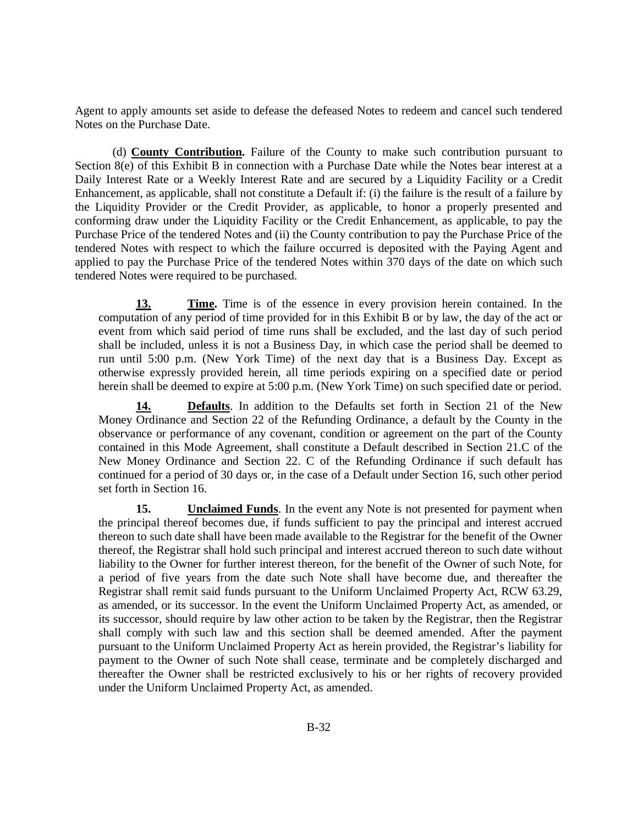Agent to apply amounts set aside to defease the defeased Notes to redeem and cancel such tendered Notes on the Purchase Date.

(d) **County Contribution.** Failure of the County to make such contribution pursuant to Section 8(e) of this Exhibit B in connection with a Purchase Date while the Notes bear interest at a Daily Interest Rate or a Weekly Interest Rate and are secured by a Liquidity Facility or a Credit Enhancement, as applicable, shall not constitute a Default if: (i) the failure is the result of a failure by the Liquidity Provider or the Credit Provider, as applicable, to honor a properly presented and conforming draw under the Liquidity Facility or the Credit Enhancement, as applicable, to pay the Purchase Price of the tendered Notes and (ii) the County contribution to pay the Purchase Price of the tendered Notes with respect to which the failure occurred is deposited with the Paying Agent and applied to pay the Purchase Price of the tendered Notes within 370 days of the date on which such tendered Notes were required to be purchased.

**13. Time.** Time is of the essence in every provision herein contained. In the computation of any period of time provided for in this Exhibit B or by law, the day of the act or event from which said period of time runs shall be excluded, and the last day of such period shall be included, unless it is not a Business Day, in which case the period shall be deemed to run until 5:00 p.m. (New York Time) of the next day that is a Business Day. Except as otherwise expressly provided herein, all time periods expiring on a specified date or period herein shall be deemed to expire at 5:00 p.m. (New York Time) on such specified date or period.

**14. Defaults**. In addition to the Defaults set forth in Section 21 of the New Money Ordinance and Section 22 of the Refunding Ordinance, a default by the County in the observance or performance of any covenant, condition or agreement on the part of the County contained in this Mode Agreement, shall constitute a Default described in Section 21.C of the New Money Ordinance and Section 22. C of the Refunding Ordinance if such default has continued for a period of 30 days or, in the case of a Default under Section 16, such other period set forth in Section 16.

**15. Unclaimed Funds**. In the event any Note is not presented for payment when the principal thereof becomes due, if funds sufficient to pay the principal and interest accrued thereon to such date shall have been made available to the Registrar for the benefit of the Owner thereof, the Registrar shall hold such principal and interest accrued thereon to such date without liability to the Owner for further interest thereon, for the benefit of the Owner of such Note, for a period of five years from the date such Note shall have become due, and thereafter the Registrar shall remit said funds pursuant to the Uniform Unclaimed Property Act, RCW 63.29, as amended, or its successor. In the event the Uniform Unclaimed Property Act, as amended, or its successor, should require by law other action to be taken by the Registrar, then the Registrar shall comply with such law and this section shall be deemed amended. After the payment pursuant to the Uniform Unclaimed Property Act as herein provided, the Registrar's liability for payment to the Owner of such Note shall cease, terminate and be completely discharged and thereafter the Owner shall be restricted exclusively to his or her rights of recovery provided under the Uniform Unclaimed Property Act, as amended.